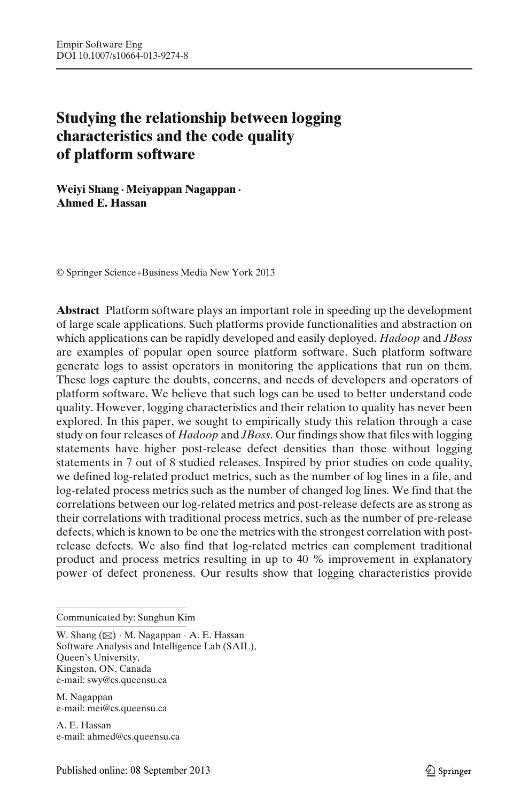# **Studying the relationship between logging characteristics and the code quality of platform software**

**Weiyi Shang · Meiyappan Nagappan · Ahmed E. Hassan**

© Springer Science+Business Media New York 2013

**Abstract** Platform software plays an important role in speeding up the development of large scale applications. Such platforms provide functionalities and abstraction on which applications can be rapidly developed and easily deployed. *Hadoop* and *JBoss* are examples of popular open source platform software. Such platform software generate logs to assist operators in monitoring the applications that run on them. These logs capture the doubts, concerns, and needs of developers and operators of platform software. We believe that such logs can be used to better understand code quality. However, logging characteristics and their relation to quality has never been explored. In this paper, we sought to empirically study this relation through a case study on four releases of *Hadoop* and *JBoss*. Our findings show that files with logging statements have higher post-release defect densities than those without logging statements in 7 out of 8 studied releases. Inspired by prior studies on code quality, we defined log-related product metrics, such as the number of log lines in a file, and log-related process metrics such as the number of changed log lines. We find that the correlations between our log-related metrics and post-release defects are as strong as their correlations with traditional process metrics, such as the number of pre-release defects, which is known to be one the metrics with the strongest correlation with postrelease defects. We also find that log-related metrics can complement traditional product and process metrics resulting in up to 40 % improvement in explanatory power of defect proneness. Our results show that logging characteristics provide

Communicated by: Sunghun Kim

W. Shang  $(\boxtimes) \cdot M$ . Nagappan  $\cdot A$ . E. Hassan Software Analysis and Intelligence Lab (SAIL), Queen's University, Kingston, ON, Canada e-mail: swy@cs.queensu.ca

M. Nagappan e-mail: mei@cs.queensu.ca

A. E. Hassan e-mail: ahmed@cs.queensu.ca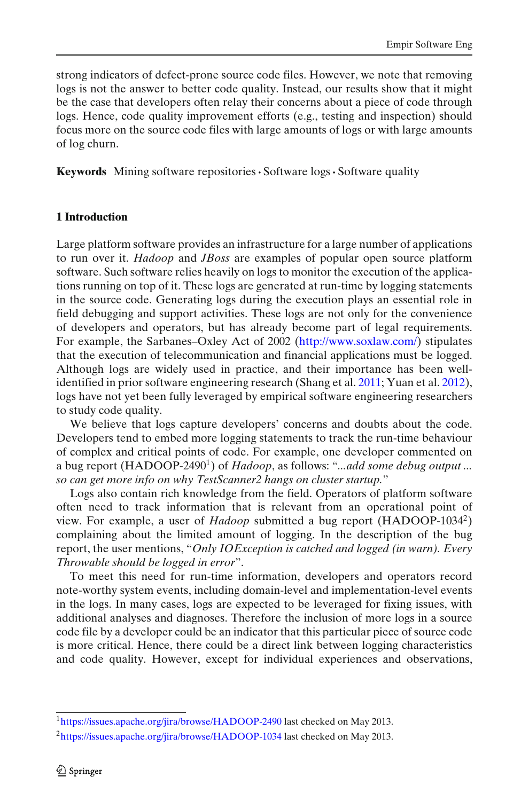strong indicators of defect-prone source code files. However, we note that removing logs is not the answer to better code quality. Instead, our results show that it might be the case that developers often relay their concerns about a piece of code through logs. Hence, code quality improvement efforts (e.g., testing and inspection) should focus more on the source code files with large amounts of logs or with large amounts of log churn.

**Keywords** Mining software repositories**·** Software logs**·** Software quality

## **1 Introduction**

Large platform software provides an infrastructure for a large number of applications to run over it. *Hadoop* and *JBoss* are examples of popular open source platform software. Such software relies heavily on logs to monitor the execution of the applications running on top of it. These logs are generated at run-time by logging statements in the source code. Generating logs during the execution plays an essential role in field debugging and support activities. These logs are not only for the convenience of developers and operators, but has already become part of legal requirements. For example, the Sarbanes–Oxley Act of 2002 [\(http://www.soxlaw.com/\)](http://www.soxlaw.com/) stipulates that the execution of telecommunication and financial applications must be logged. Although logs are widely used in practice, and their importance has been wellidentified in prior software engineering research (Shang et al[.](#page-24-0) [2011;](#page-24-0) Yuan et al[.](#page-24-0) [2012\)](#page-24-0), logs have not yet been fully leveraged by empirical software engineering researchers to study code quality.

We believe that logs capture developers' concerns and doubts about the code. Developers tend to embed more logging statements to track the run-time behaviour of complex and critical points of code. For example, one developer commented on a bug report (HADOOP-2490<sup>1</sup>) of *Hadoop*, as follows: "*...add some debug output ... so can get more info on why TestScanner2 hangs on cluster startup.*"

Logs also contain rich knowledge from the field. Operators of platform software often need to track information that is relevant from an operational point of view. For example, a user of *Hadoop* submitted a bug report (HADOOP-10342) complaining about the limited amount of logging. In the description of the bug report, the user mentions, "*Only IOException is catched and logged (in warn). Every Throwable should be logged in error*".

To meet this need for run-time information, developers and operators record note-worthy system events, including domain-level and implementation-level events in the logs. In many cases, logs are expected to be leveraged for fixing issues, with additional analyses and diagnoses. Therefore the inclusion of more logs in a source code file by a developer could be an indicator that this particular piece of source code is more critical. Hence, there could be a direct link between logging characteristics and code quality. However, except for individual experiences and observations,

[<sup>1</sup>https://issues.apache.org/jira/browse/HADOOP-2490](https://issues.apache.org/jira/browse/HADOOP-2490) last checked on May 2013.

[<sup>2</sup>https://issues.apache.org/jira/browse/HADOOP-1034](https://issues.apache.org/jira/browse/HADOOP-1034) last checked on May 2013.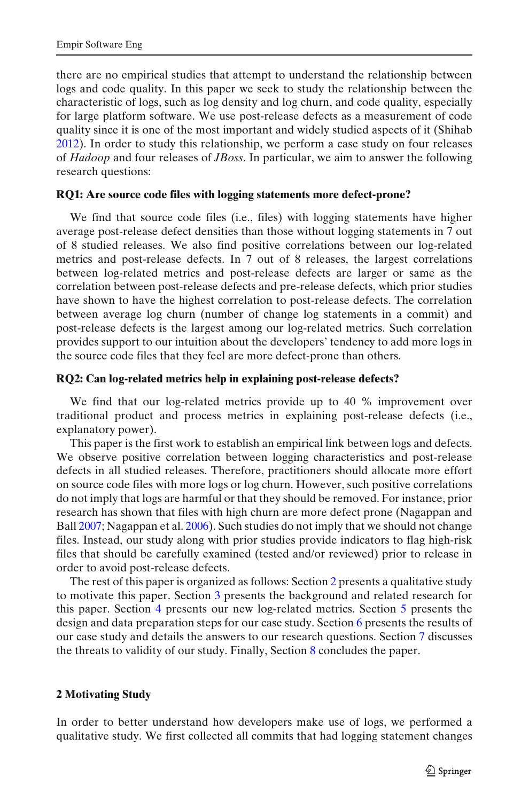<span id="page-2-0"></span>there are no empirical studies that attempt to understand the relationship between logs and code quality. In this paper we seek to study the relationship between the characteristic of logs, such as log density and log churn, and code quality, especially for large platform software. We use post-release defects as a measurement of code quality since it is one of the most important and widely studied aspects of it (Shiha[b](#page-24-0) [2012\)](#page-24-0). In order to study this relationship, we perform a case study on four releases of *Hadoop* and four releases of *JBoss*. In particular, we aim to answer the following research questions:

#### **RQ1: Are source code files with logging statements more defect-prone?**

We find that source code files (i.e., files) with logging statements have higher average post-release defect densities than those without logging statements in 7 out of 8 studied releases. We also find positive correlations between our log-related metrics and post-release defects. In 7 out of 8 releases, the largest correlations between log-related metrics and post-release defects are larger or same as the correlation between post-release defects and pre-release defects, which prior studies have shown to have the highest correlation to post-release defects. The correlation between average log churn (number of change log statements in a commit) and post-release defects is the largest among our log-related metrics. Such correlation provides support to our intuition about the developers' tendency to add more logs in the source code files that they feel are more defect-prone than others.

#### **RQ2: Can log-related metrics help in explaining post-release defects?**

We find that our log-related metrics provide up to 40 % improvement over traditional product and process metrics in explaining post-release defects (i.e., explanatory power).

This paper is the first work to establish an empirical link between logs and defects. We observe positive correlation between logging characteristics and post-release defects in all studied releases. Therefore, practitioners should allocate more effort on source code files with more logs or log churn. However, such positive correlations do not imply that logs are harmful or that they should be removed. For instance, prior research has shown that files with high churn are more defect prone (Nagappan and Bal[l](#page-23-0) [2007;](#page-23-0) Nagappan et al. [2006](#page-23-0)). Such studies do not imply that we should not change files. Instead, our study along with prior studies provide indicators to flag high-risk files that should be carefully examined (tested and/or reviewed) prior to release in order to avoid post-release defects.

The rest of this paper is organized as follows: Section 2 presents a qualitative study to motivate this paper. Section [3](#page-4-0) presents the background and related research for this paper. Section [4](#page-7-0) presents our new log-related metrics. Section [5](#page-8-0) presents the design and data preparation steps for our case study. Section [6](#page-10-0) presents the results of our case study and details the answers to our research questions. Section [7](#page-19-0) discusses the threats to validity of our study. Finally, Section [8](#page-21-0) concludes the paper.

#### **2 Motivating Study**

In order to better understand how developers make use of logs, we performed a qualitative study. We first collected all commits that had logging statement changes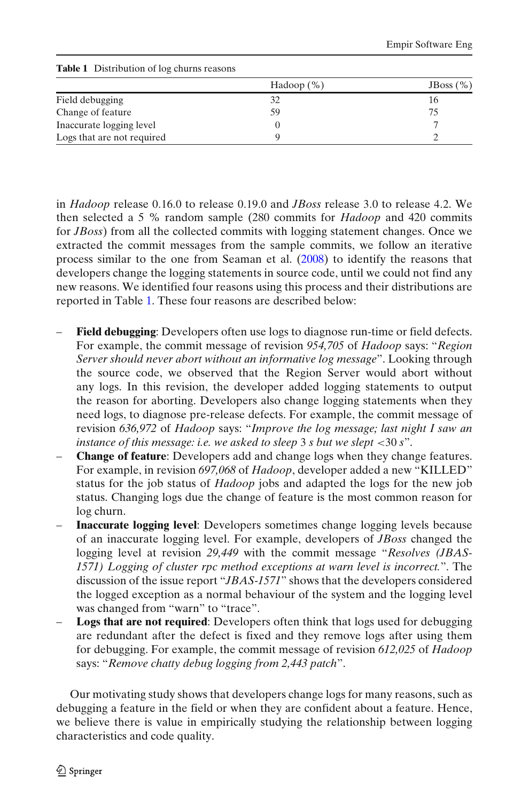|                            | Hadoop $(\%)$ | JBoss $(\% )$ |
|----------------------------|---------------|---------------|
| Field debugging            | 32            | 16            |
| Change of feature          | 59            | 75            |
| Inaccurate logging level   |               |               |
| Logs that are not required |               |               |

**Table 1** Distribution of log churns reasons

in *Hadoop* release 0.16.0 to release 0.19.0 and *JBoss* release 3.0 to release 4.2. We then selected a 5 % random sample (280 commits for *Hadoop* and 420 commits for *JBoss*) from all the collected commits with logging statement changes. Once we extracted the commit messages from the sample commits, we follow an iterative process similar to the one from Seaman et al[.](#page-24-0) [\(2008](#page-24-0)) to identify the reasons that developers change the logging statements in source code, until we could not find any new reasons. We identified four reasons using this process and their distributions are reported in Table 1. These four reasons are described below:

- **Field debugging**: Developers often use logs to diagnose run-time or field defects. For example, the commit message of revision *954,705* of *Hadoop* says: "*Region Server should never abort without an informative log message*". Looking through the source code, we observed that the Region Server would abort without any logs. In this revision, the developer added logging statements to output the reason for aborting. Developers also change logging statements when they need logs, to diagnose pre-release defects. For example, the commit message of revision *636,972* of *Hadoop* says: "*Improve the log message; last night I saw an instance of this message: i.e. we asked to sleep* 3 *s but we slept* <30 *s*".
- **Change of feature**: Developers add and change logs when they change features. For example, in revision *697,068* of *Hadoop*, developer added a new "KILLED" status for the job status of *Hadoop* jobs and adapted the logs for the new job status. Changing logs due the change of feature is the most common reason for log churn.
- **Inaccurate logging level**: Developers sometimes change logging levels because of an inaccurate logging level. For example, developers of *JBoss* changed the logging level at revision *29,449* with the commit message "*Resolves (JBAS-1571) Logging of cluster rpc method exceptions at warn level is incorrect.*". The discussion of the issue report "*JBAS-1571*" shows that the developers considered the logged exception as a normal behaviour of the system and the logging level was changed from "warn" to "trace".
- **Logs that are not required**: Developers often think that logs used for debugging are redundant after the defect is fixed and they remove logs after using them for debugging. For example, the commit message of revision *612,025* of *Hadoop* says: "*Remove chatty debug logging from 2,443 patch*".

Our motivating study shows that developers change logs for many reasons, such as debugging a feature in the field or when they are confident about a feature. Hence, we believe there is value in empirically studying the relationship between logging characteristics and code quality.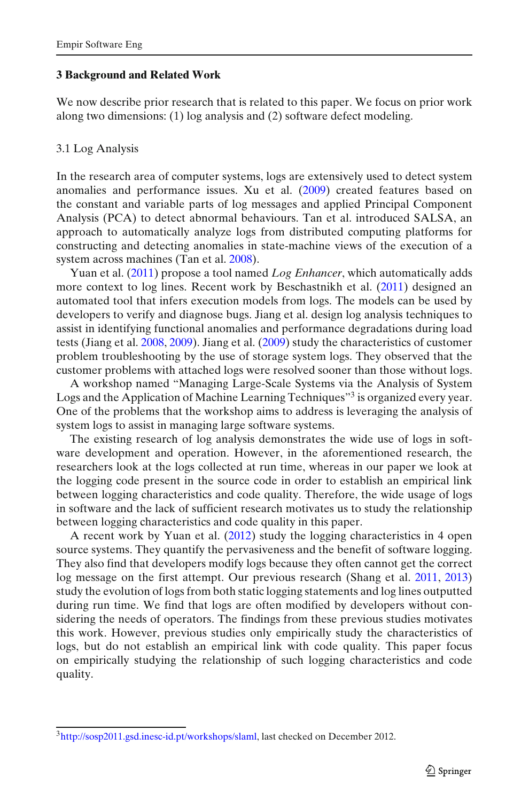#### <span id="page-4-0"></span>**3 Background and Related Work**

We now describe prior research that is related to this paper. We focus on prior work along two dimensions: (1) log analysis and (2) software defect modeling.

## 3.1 Log Analysis

In the research area of computer systems, logs are extensively used to detect system anomalies and performance issues. Xu et al[.](#page-24-0) [\(2009\)](#page-24-0) created features based on the constant and variable parts of log messages and applied Principal Component Analysis (PCA) to detect abnormal behaviours. Tan et al. introduced SALSA, an approach to automatically analyze logs from distributed computing platforms for constructing and detecting anomalies in state-machine views of the execution of a system across machines (Tan et al[.](#page-24-0) [2008\)](#page-24-0).

Yuan et al[.](#page-24-0) [\(2011](#page-24-0)) propose a tool named *Log Enhancer*, which automatically adds more context to log lines. Recent work by Beschastnikh et al[.](#page-22-0) [\(2011\)](#page-22-0) designed an automated tool that infers execution models from logs. The models can be used by developers to verify and diagnose bugs. Jiang et al. design log analysis techniques to assist in identifying functional anomalies and performance degradations during load tests (Jiang et al[.](#page-23-0) [2008](#page-23-0), [2009\)](#page-23-0). Jiang et al[.](#page-23-0) [\(2009](#page-23-0)) study the characteristics of customer problem troubleshooting by the use of storage system logs. They observed that the customer problems with attached logs were resolved sooner than those without logs.

A workshop named "Managing Large-Scale Systems via the Analysis of System Logs and the Application of Machine Learning Techniques<sup>33</sup> is organized every year. One of the problems that the workshop aims to address is leveraging the analysis of system logs to assist in managing large software systems.

The existing research of log analysis demonstrates the wide use of logs in software development and operation. However, in the aforementioned research, the researchers look at the logs collected at run time, whereas in our paper we look at the logging code present in the source code in order to establish an empirical link between logging characteristics and code quality. Therefore, the wide usage of logs in software and the lack of sufficient research motivates us to study the relationship between logging characteristics and code quality in this paper.

A recent work by Yuan et al[.](#page-24-0) [\(2012\)](#page-24-0) study the logging characteristics in 4 open source systems. They quantify the pervasiveness and the benefit of software logging. They also find that developers modify logs because they often cannot get the correct log message on the first attempt. Our previous research (Shang et al[.](#page-24-0) [2011,](#page-24-0) [2013\)](#page-24-0) study the evolution of logs from both static logging statements and log lines outputted during run time. We find that logs are often modified by developers without considering the needs of operators. The findings from these previous studies motivates this work. However, previous studies only empirically study the characteristics of logs, but do not establish an empirical link with code quality. This paper focus on empirically studying the relationship of such logging characteristics and code quality.

[<sup>3</sup>http://sosp2011.gsd.inesc-id.pt/workshops/slaml,](http://sosp2011.gsd.inesc-id.pt/workshops/slaml) last checked on December 2012.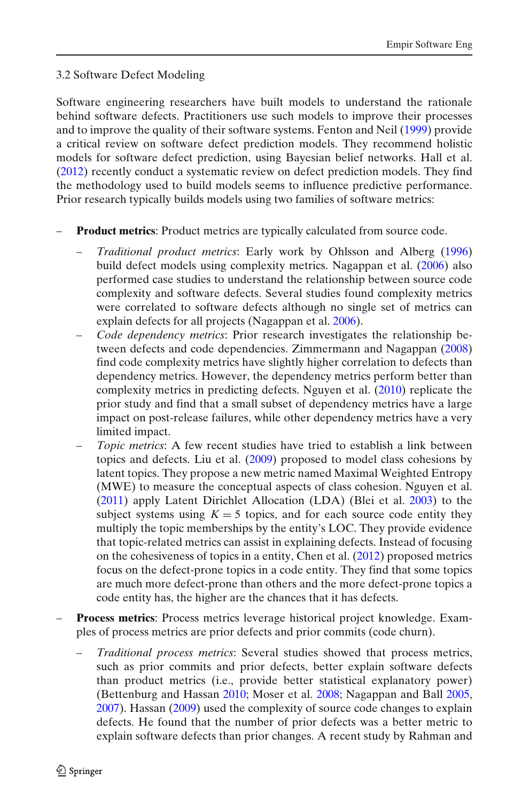## 3.2 Software Defect Modeling

Software engineering researchers have built models to understand the rationale behind software defects. Practitioners use such models to improve their processes and to improve the quality of their software systems. Fenton and Nei[l](#page-22-0) [\(1999](#page-22-0)) provide a critical review on software defect prediction models. They recommend holistic models for software defect prediction, using Bayesian belief networks. Hall et al[.](#page-22-0) [\(2012](#page-22-0)) recently conduct a systematic review on defect prediction models. They find the methodology used to build models seems to influence predictive performance. Prior research typically builds models using two families of software metrics:

- **Product metrics**: Product metrics are typically calculated from source code.
	- *Traditional product metrics*: Early work by Ohlsson and Alber[g](#page-23-0) [\(1996\)](#page-23-0) build defect models using complexity metrics. Nagappan et al[.](#page-23-0) [\(2006](#page-23-0)) also performed case studies to understand the relationship between source code complexity and software defects. Several studies found complexity metrics were correlated to software defects although no single set of metrics can explain defects for all projects (Nagappan et al[.](#page-23-0) [2006\)](#page-23-0).
	- *Code dependency metrics*: Prior research investigates the relationship between defects and code dependencies. Zimmermann and Nagappa[n](#page-24-0) [\(2008\)](#page-24-0) find code complexity metrics have slightly higher correlation to defects than dependency metrics. However, the dependency metrics perform better than complexity metrics in predicting defects. Nguyen et al[.](#page-23-0) [\(2010\)](#page-23-0) replicate the prior study and find that a small subset of dependency metrics have a large impact on post-release failures, while other dependency metrics have a very limited impact.
	- *Topic metrics*: A few recent studies have tried to establish a link between topics and defects. Liu et al[.](#page-23-0) [\(2009](#page-23-0)) proposed to model class cohesions by latent topics. They propose a new metric named Maximal Weighted Entropy (MWE) to measure the conceptual aspects of class cohesion. Nguyen et al[.](#page-23-0) [\(2011\)](#page-23-0) apply Latent Dirichlet Allocation (LDA) (Blei et al[.](#page-22-0) [2003](#page-22-0)) to the subject systems using  $K = 5$  topics, and for each source code entity they multiply the topic memberships by the entity's LOC. They provide evidence that topic-related metrics can assist in explaining defects. Instead of focusing on the cohesiveness of topics in a entity, Chen et al[.](#page-22-0) [\(2012\)](#page-22-0) proposed metrics focus on the defect-prone topics in a code entity. They find that some topics are much more defect-prone than others and the more defect-prone topics a code entity has, the higher are the chances that it has defects.
- **Process metrics**: Process metrics leverage historical project knowledge. Examples of process metrics are prior defects and prior commits (code churn).
	- *Traditional process metrics*: Several studies showed that process metrics, such as prior commits and prior defects, better explain software defects than product metrics (i.e., provide better statistical explanatory power) (Bettenburg and Hassa[n](#page-22-0) [2010](#page-22-0); Moser et al[.](#page-23-0) [2008](#page-23-0); Nagappan and Bal[l](#page-23-0) [2005](#page-23-0), [2007](#page-23-0)). Hassa[n](#page-22-0) [\(2009\)](#page-22-0) used the complexity of source code changes to explain defects. He found that the number of prior defects was a better metric to explain software defects than prior changes. A recent study by Rahman and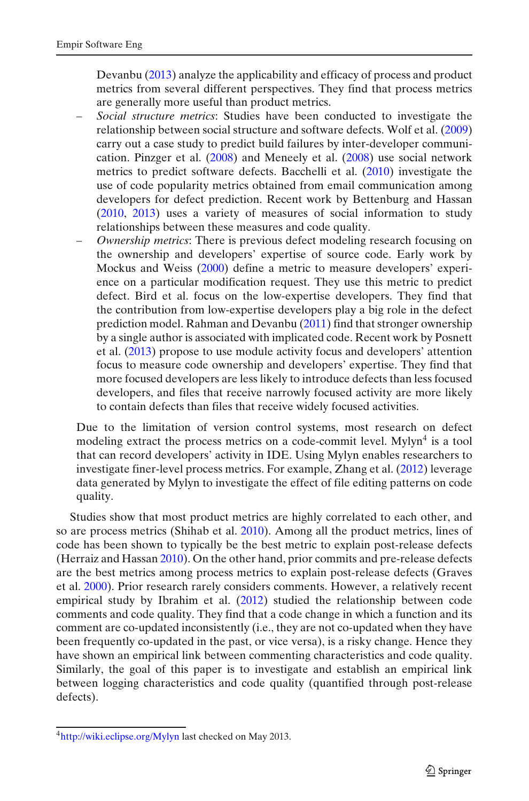Devanb[u](#page-24-0) [\(2013\)](#page-24-0) analyze the applicability and efficacy of process and product metrics from several different perspectives. They find that process metrics are generally more useful than product metrics.

- *Social structure metrics*: Studies have been conducted to investigate the relationship between social structure and software defects. Wolf et al[.](#page-24-0) [\(2009\)](#page-24-0) carry out a case study to predict build failures by inter-developer communication. Pinzger et al[.](#page-23-0) [\(2008\)](#page-23-0) and Meneely et al[.](#page-23-0) [\(2008\)](#page-23-0) use social network metrics to predict software defects. Bacchelli et al[.](#page-22-0) [\(2010\)](#page-22-0) investigate the use of code popularity metrics obtained from email communication among developers for defect prediction. Recent work by Bettenburg and Hassa[n](#page-22-0) [\(2010,](#page-22-0) [2013](#page-22-0)) uses a variety of measures of social information to study relationships between these measures and code quality.
- *Ownership metrics*: There is previous defect modeling research focusing on the ownership and developers' expertise of source code. Early work by Mockus and Weis[s](#page-23-0) [\(2000](#page-23-0)) define a metric to measure developers' experience on a particular modification request. They use this metric to predict defect. Bird et al. focus on the low-expertise developers. They find that the contribution from low-expertise developers play a big role in the defect prediction model. Rahman and Devanb[u](#page-23-0) [\(2011\)](#page-23-0) find that stronger ownership by a single author is associated with implicated code. Recent work by Posnett et al[.](#page-23-0) [\(2013\)](#page-23-0) propose to use module activity focus and developers' attention focus to measure code ownership and developers' expertise. They find that more focused developers are less likely to introduce defects than less focused developers, and files that receive narrowly focused activity are more likely to contain defects than files that receive widely focused activities.

Due to the limitation of version control systems, most research on defect modeling extract the process metrics on a code-commit level. Mylyn<sup>4</sup> is a tool that can record developers' activity in IDE. Using Mylyn enables researchers to investigate finer-level process metrics. For example, Zhang et al[.](#page-24-0) [\(2012\)](#page-24-0) leverage data generated by Mylyn to investigate the effect of file editing patterns on code quality.

Studies show that most product metrics are highly correlated to each other, and so are process metrics (Shihab et al[.](#page-24-0) [2010](#page-24-0)). Among all the product metrics, lines of code has been shown to typically be the best metric to explain post-release defects (Herraiz and Hassa[n](#page-22-0) [2010](#page-22-0)). On the other hand, prior commits and pre-release defects are the best metrics among process metrics to explain post-release defects (Graves et al[.](#page-22-0) [2000\)](#page-22-0). Prior research rarely considers comments. However, a relatively recent empirical study by Ibrahim et al[.](#page-22-0) [\(2012\)](#page-22-0) studied the relationship between code comments and code quality. They find that a code change in which a function and its comment are co-updated inconsistently (i.e., they are not co-updated when they have been frequently co-updated in the past, or vice versa), is a risky change. Hence they have shown an empirical link between commenting characteristics and code quality. Similarly, the goal of this paper is to investigate and establish an empirical link between logging characteristics and code quality (quantified through post-release defects).

[<sup>4</sup>http://wiki.eclipse.org/Mylyn](http://wiki.eclipse.org/Mylyn) last checked on May 2013.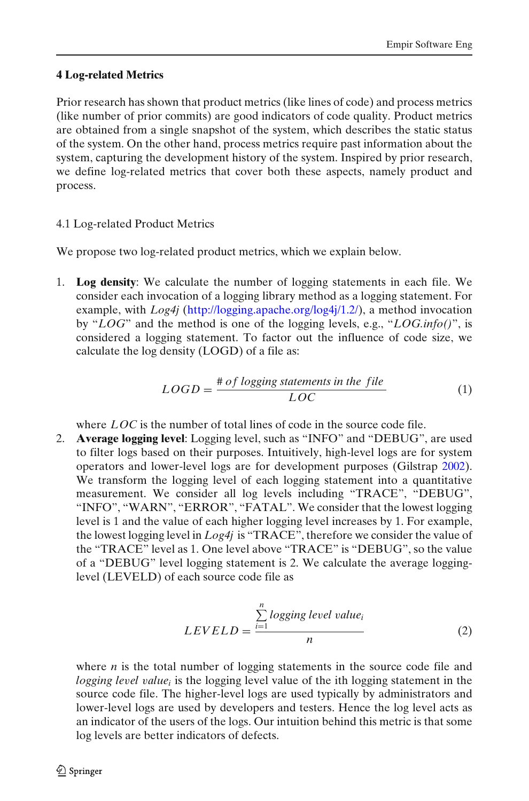# <span id="page-7-0"></span>**4 Log-related Metrics**

Prior research has shown that product metrics (like lines of code) and process metrics (like number of prior commits) are good indicators of code quality. Product metrics are obtained from a single snapshot of the system, which describes the static status of the system. On the other hand, process metrics require past information about the system, capturing the development history of the system. Inspired by prior research, we define log-related metrics that cover both these aspects, namely product and process.

# 4.1 Log-related Product Metrics

We propose two log-related product metrics, which we explain below.

1. **Log density**: We calculate the number of logging statements in each file. We consider each invocation of a logging library method as a logging statement. For example, with *Log4j* [\(http://logging.apache.org/log4j/1.2/\)](http://logging.apache.org/log4j/1.2/), a method invocation by "*LOG*" and the method is one of the logging levels, e.g., "*LOG.info()*", is considered a logging statement. To factor out the influence of code size, we calculate the log density (LOGD) of a file as:

$$
LOGD = \frac{\# of logging statements in the file}{LOC}
$$
 (1)

where *LOC* is the number of total lines of code in the source code file.

2. **Average logging level**: Logging level, such as "INFO" and "DEBUG", are used to filter logs based on their purposes. Intuitively, high-level logs are for system operators and lower-level logs are for development purposes (Gilstra[p](#page-22-0) [2002\)](#page-22-0). We transform the logging level of each logging statement into a quantitative measurement. We consider all log levels including "TRACE", "DEBUG", "INFO", "WARN", "ERROR", "FATAL". We consider that the lowest logging level is 1 and the value of each higher logging level increases by 1. For example, the lowest logging level in *Log4j* is "TRACE", therefore we consider the value of the "TRACE" level as 1. One level above "TRACE" is "DEBUG", so the value of a "DEBUG" level logging statement is 2. We calculate the average logginglevel (LEVELD) of each source code file as

$$
LEVELD = \frac{\sum_{i=1}^{n} logging level value_i}{n}
$$
 (2)

where *n* is the total number of logging statements in the source code file and *logging le*v*el* v*aluei* is the logging level value of the ith logging statement in the source code file. The higher-level logs are used typically by administrators and lower-level logs are used by developers and testers. Hence the log level acts as an indicator of the users of the logs. Our intuition behind this metric is that some log levels are better indicators of defects.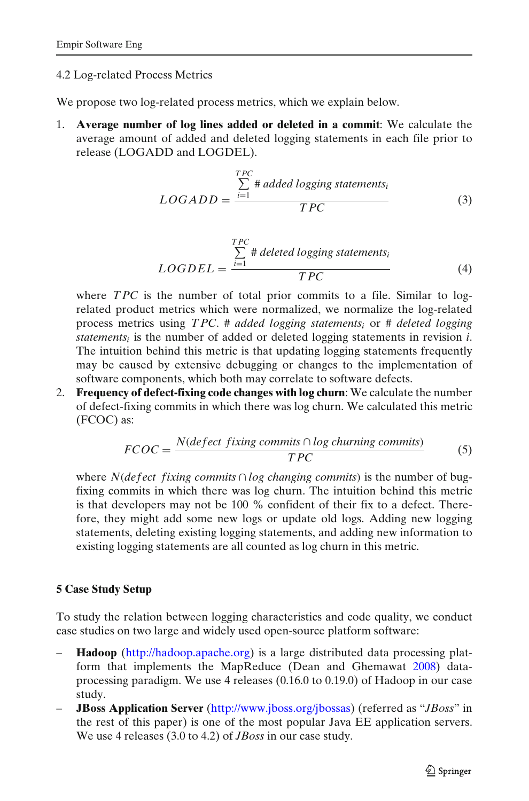## <span id="page-8-0"></span>4.2 Log-related Process Metrics

We propose two log-related process metrics, which we explain below.

1. **Average number of log lines added or deleted in a commit**: We calculate the average amount of added and deleted logging statements in each file prior to release (LOGADD and LOGDEL).

$$
LOGADD = \frac{\sum_{i=1}^{TPC} # added logging statements_i}{TPC}
$$
 (3)

$$
LOGDEL = \frac{\sum_{i=1}^{TPC} # deleted logging statements_i}{TPC}
$$
 (4)

where *TPC* is the number of total prior commits to a file. Similar to logrelated product metrics which were normalized, we normalize the log-related process metrics using *T PC*. # *added logging statementsi* or # *deleted logging statements<sub>i</sub>* is the number of added or deleted logging statements in revision  $i$ . The intuition behind this metric is that updating logging statements frequently may be caused by extensive debugging or changes to the implementation of software components, which both may correlate to software defects.

2. **Frequency of defect-fixing code changes with log churn**: We calculate the number of defect-fixing commits in which there was log churn. We calculated this metric (FCOC) as:

$$
FCOC = \frac{N (defect fixing\text{ commits} \cap \log \text{churning\text{ commits}})}{TPC}
$$
 (5)

where *N*(*defect fixing commits*  $\cap$  *log changing commits*) is the number of bugfixing commits in which there was log churn. The intuition behind this metric is that developers may not be 100 % confident of their fix to a defect. Therefore, they might add some new logs or update old logs. Adding new logging statements, deleting existing logging statements, and adding new information to existing logging statements are all counted as log churn in this metric.

# **5 Case Study Setup**

To study the relation between logging characteristics and code quality, we conduct case studies on two large and widely used open-source platform software:

- **Hadoop** [\(http://hadoop.apache.org\)](http://hadoop.apache.org) is a large distributed data processing platform that implements the MapReduce (Dean and Ghemawa[t](#page-22-0) [2008](#page-22-0)) dataprocessing paradigm. We use 4 releases (0.16.0 to 0.19.0) of Hadoop in our case study.
- **JBoss Application Server** [\(http://www.jboss.org/jbossas\)](http://www.jboss.org/jbossas) (referred as "*JBoss*" in the rest of this paper) is one of the most popular Java EE application servers. We use 4 releases (3.0 to 4.2) of *JBoss* in our case study.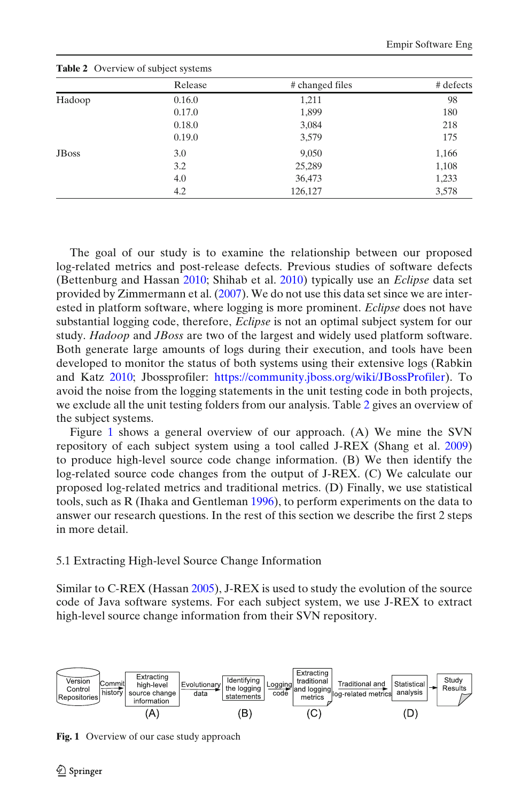| <b>Lable 2</b> OVCEVICW OF SUBJECT SYSTEMS |         |                 |           |  |  |  |
|--------------------------------------------|---------|-----------------|-----------|--|--|--|
|                                            | Release | # changed files | # defects |  |  |  |
| Hadoop                                     | 0.16.0  | 1,211           | 98        |  |  |  |
|                                            | 0.17.0  | 1,899           | 180       |  |  |  |
|                                            | 0.18.0  | 3,084           | 218       |  |  |  |
|                                            | 0.19.0  | 3,579           | 175       |  |  |  |
| <b>J</b> B <sub>oss</sub>                  | 3.0     | 9,050           | 1,166     |  |  |  |
|                                            | 3.2     | 25,289          | 1,108     |  |  |  |
|                                            | 4.0     | 36,473          | 1,233     |  |  |  |
|                                            | 4.2     | 126,127         | 3,578     |  |  |  |

**Table 2** Overview of subject systems

The goal of our study is to examine the relationship between our proposed log-related metrics and post-release defects. Previous studies of software defects (Bettenburg and Hassa[n](#page-22-0) [2010](#page-22-0); Shihab et al[.](#page-24-0) [2010\)](#page-24-0) typically use an *Eclipse* data set provided by Zimmermann et al[.](#page-24-0) [\(2007\)](#page-24-0). We do not use this data set since we are interested in platform software, where logging is more prominent. *Eclipse* does not have substantial logging code, therefore, *Eclipse* is not an optimal subject system for our study. *Hadoop* and *JBoss* are two of the largest and widely used platform software. Both generate large amounts of logs during their execution, and tools have been developed to monitor the status of both systems using their extensive logs (Rabkin and Katz [2010](#page-23-0); Jbossprofiler: [https://community.jboss.org/wiki/JBossProfiler\)](https://community.jboss.org/wiki/JBossProfiler). To avoid the noise from the logging statements in the unit testing code in both projects, we exclude all the unit testing folders from our analysis. Table 2 gives an overview of the subject systems.

Figure 1 shows a general overview of our approach. (A) We mine the SVN repository of each subject system using a tool called J-REX (Shang et al[.](#page-24-0) [2009\)](#page-24-0) to produce high-level source code change information. (B) We then identify the log-related source code changes from the output of J-REX. (C) We calculate our proposed log-related metrics and traditional metrics. (D) Finally, we use statistical tools, such as R (Ihaka and Gentlema[n](#page-22-0) [1996\)](#page-22-0), to perform experiments on the data to answer our research questions. In the rest of this section we describe the first 2 steps in more detail.

## 5.1 Extracting High-level Source Change Information

Similar to C-REX (Hassa[n](#page-22-0) [2005](#page-22-0)), J-REX is used to study the evolution of the source code of Java software systems. For each subject system, we use J-REX to extract high-level source change information from their SVN repository.



**Fig. 1** Overview of our case study approach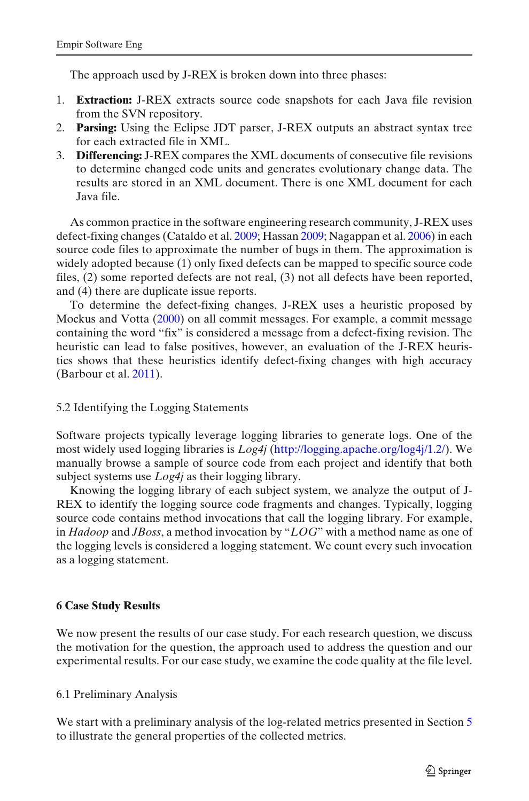<span id="page-10-0"></span>The approach used by J-REX is broken down into three phases:

- 1. **Extraction:** J-REX extracts source code snapshots for each Java file revision from the SVN repository.
- 2. **Parsing:** Using the Eclipse JDT parser, J-REX outputs an abstract syntax tree for each extracted file in XML.
- 3. **Differencing:** J-REX compares the XML documents of consecutive file revisions to determine changed code units and generates evolutionary change data. The results are stored in an XML document. There is one XML document for each Java file.

As common practice in the software engineering research community, J-REX uses defect-fixing changes (Cataldo et al[.](#page-22-0) [2009;](#page-22-0) Hassa[n](#page-22-0) [2009](#page-22-0); Nagappan et al[.](#page-23-0) [2006](#page-23-0)) in each source code files to approximate the number of bugs in them. The approximation is widely adopted because (1) only fixed defects can be mapped to specific source code files, (2) some reported defects are not real, (3) not all defects have been reported, and (4) there are duplicate issue reports.

To determine the defect-fixing changes, J-REX uses a heuristic proposed by Mockus and Vott[a](#page-23-0) [\(2000\)](#page-23-0) on all commit messages. For example, a commit message containing the word "fix" is considered a message from a defect-fixing revision. The heuristic can lead to false positives, however, an evaluation of the J-REX heuristics shows that these heuristics identify defect-fixing changes with high accuracy (Barbour et al[.](#page-22-0) [2011](#page-22-0)).

## 5.2 Identifying the Logging Statements

Software projects typically leverage logging libraries to generate logs. One of the most widely used logging libraries is *Log4j* [\(http://logging.apache.org/log4j/1.2/\)](http://logging.apache.org/log4j/1.2/). We manually browse a sample of source code from each project and identify that both subject systems use *Log4j* as their logging library.

Knowing the logging library of each subject system, we analyze the output of J-REX to identify the logging source code fragments and changes. Typically, logging source code contains method invocations that call the logging library. For example, in *Hadoop* and *JBoss*, a method invocation by "*LOG*" with a method name as one of the logging levels is considered a logging statement. We count every such invocation as a logging statement.

## **6 Case Study Results**

We now present the results of our case study. For each research question, we discuss the motivation for the question, the approach used to address the question and our experimental results. For our case study, we examine the code quality at the file level.

## 6.1 Preliminary Analysis

We start with a preliminary analysis of the log-related metrics presented in Section [5](#page-8-0) to illustrate the general properties of the collected metrics.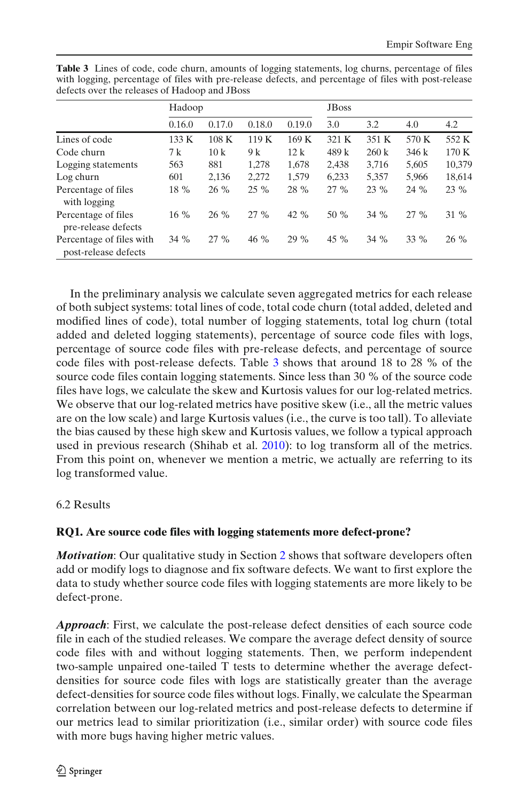|                                                  |        | Hadoop |        |        | <b>J</b> B <sub>oss</sub> |        |        |        |
|--------------------------------------------------|--------|--------|--------|--------|---------------------------|--------|--------|--------|
|                                                  | 0.16.0 | 0.17.0 | 0.18.0 | 0.19.0 | 3.0                       | 3.2    | 4.0    | 4.2    |
| Lines of code                                    | 133 K  | 108K   | 119K   | 169K   | 321 K                     | 351 K  | 570 K  | 552 K  |
| Code churn                                       | 7 k    | 10k    | 9 k    | 12k    | 489 k                     | 260 k  | 346k   | 170K   |
| Logging statements                               | 563    | 881    | 1,278  | 1,678  | 2,438                     | 3,716  | 5,605  | 10,379 |
| Log churn                                        | 601    | 2,136  | 2,272  | 1,579  | 6,233                     | 5,357  | 5,966  | 18,614 |
| Percentage of files<br>with logging              | 18 %   | 26 %   | $25\%$ | 28 %   | $27\%$                    | 23 %   | 24 %   | 23 %   |
| Percentage of files<br>pre-release defects       | $16\%$ | 26 %   | 27%    | 42 %   | 50 %                      | 34 %   | $27\%$ | 31 %   |
| Percentage of files with<br>post-release defects | $34\%$ | $27\%$ | $46\%$ | $29\%$ | 45 $%$                    | $34\%$ | $33\%$ | 26 %   |

<span id="page-11-0"></span>**Table 3** Lines of code, code churn, amounts of logging statements, log churns, percentage of files with logging, percentage of files with pre-release defects, and percentage of files with post-release defects over the releases of Hadoop and JBoss

In the preliminary analysis we calculate seven aggregated metrics for each release of both subject systems: total lines of code, total code churn (total added, deleted and modified lines of code), total number of logging statements, total log churn (total added and deleted logging statements), percentage of source code files with logs, percentage of source code files with pre-release defects, and percentage of source code files with post-release defects. Table 3 shows that around 18 to 28 % of the source code files contain logging statements. Since less than 30 % of the source code files have logs, we calculate the skew and Kurtosis values for our log-related metrics. We observe that our log-related metrics have positive skew (i.e., all the metric values are on the low scale) and large Kurtosis values (i.e., the curve is too tall). To alleviate the bias caused by these high skew and Kurtosis values, we follow a typical approach used in previous research (Shihab et al[.](#page-24-0) [2010\)](#page-24-0): to log transform all of the metrics. From this point on, whenever we mention a metric, we actually are referring to its log transformed value.

## 6.2 Results

## **RQ1. Are source code files with logging statements more defect-prone?**

*Motivation*: Our qualitative study in Section [2](#page-2-0) shows that software developers often add or modify logs to diagnose and fix software defects. We want to first explore the data to study whether source code files with logging statements are more likely to be defect-prone.

*Approach*: First, we calculate the post-release defect densities of each source code file in each of the studied releases. We compare the average defect density of source code files with and without logging statements. Then, we perform independent two-sample unpaired one-tailed T tests to determine whether the average defectdensities for source code files with logs are statistically greater than the average defect-densities for source code files without logs. Finally, we calculate the Spearman correlation between our log-related metrics and post-release defects to determine if our metrics lead to similar prioritization (i.e., similar order) with source code files with more bugs having higher metric values.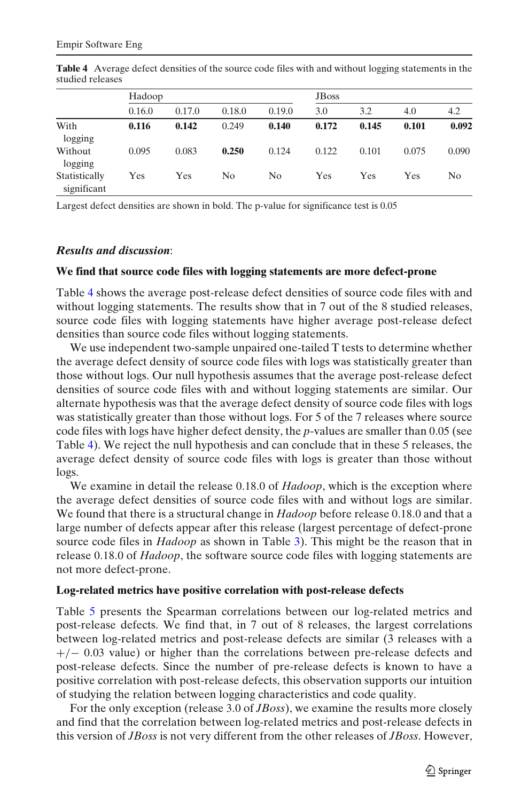|                              | Hadoop |        |        | <b>J</b> B <sub>oss</sub> |       |       |       |       |
|------------------------------|--------|--------|--------|---------------------------|-------|-------|-------|-------|
|                              | 0.16.0 | 0.17.0 | 0.18.0 | 0.19.0                    | 3.0   | 3.2   | 4.0   | 4.2   |
| With<br>logging              | 0.116  | 0.142  | 0.249  | 0.140                     | 0.172 | 0.145 | 0.101 | 0.092 |
| Without<br>logging           | 0.095  | 0.083  | 0.250  | 0.124                     | 0.122 | 0.101 | 0.075 | 0.090 |
| Statistically<br>significant | Yes    | Yes    | No     | N <sub>0</sub>            | Yes   | Yes   | Yes   | No    |

**Table 4** Average defect densities of the source code files with and without logging statements in the studied releases

Largest defect densities are shown in bold. The p-value for significance test is 0.05

#### *Results and discussion*:

#### **We find that source code files with logging statements are more defect-prone**

Table 4 shows the average post-release defect densities of source code files with and without logging statements. The results show that in 7 out of the 8 studied releases, source code files with logging statements have higher average post-release defect densities than source code files without logging statements.

We use independent two-sample unpaired one-tailed T tests to determine whether the average defect density of source code files with logs was statistically greater than those without logs. Our null hypothesis assumes that the average post-release defect densities of source code files with and without logging statements are similar. Our alternate hypothesis was that the average defect density of source code files with logs was statistically greater than those without logs. For 5 of the 7 releases where source code files with logs have higher defect density, the *p*-values are smaller than 0.05 (see Table 4). We reject the null hypothesis and can conclude that in these 5 releases, the average defect density of source code files with logs is greater than those without logs.

We examine in detail the release 0.18.0 of *Hadoop*, which is the exception where the average defect densities of source code files with and without logs are similar. We found that there is a structural change in *Hadoop* before release 0.18.0 and that a large number of defects appear after this release (largest percentage of defect-prone source code files in *Hadoop* as shown in Table [3\)](#page-11-0). This might be the reason that in release 0.18.0 of *Hadoop*, the software source code files with logging statements are not more defect-prone.

#### **Log-related metrics have positive correlation with post-release defects**

Table [5](#page-13-0) presents the Spearman correlations between our log-related metrics and post-release defects. We find that, in 7 out of 8 releases, the largest correlations between log-related metrics and post-release defects are similar (3 releases with a +/− 0.03 value) or higher than the correlations between pre-release defects and post-release defects. Since the number of pre-release defects is known to have a positive correlation with post-release defects, this observation supports our intuition of studying the relation between logging characteristics and code quality.

For the only exception (release 3.0 of *JBoss*), we examine the results more closely and find that the correlation between log-related metrics and post-release defects in this version of *JBoss* is not very different from the other releases of *JBoss*. However,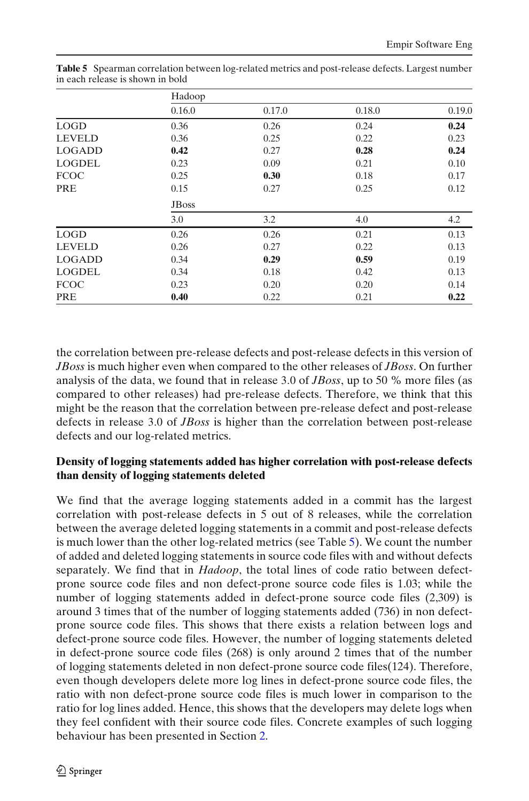|               | Hadoop       |        |        |        |  |  |
|---------------|--------------|--------|--------|--------|--|--|
|               | 0.16.0       | 0.17.0 | 0.18.0 | 0.19.0 |  |  |
| <b>LOGD</b>   | 0.36         | 0.26   | 0.24   | 0.24   |  |  |
| <b>LEVELD</b> | 0.36         | 0.25   | 0.22   | 0.23   |  |  |
| <b>LOGADD</b> | 0.42         | 0.27   | 0.28   | 0.24   |  |  |
| <b>LOGDEL</b> | 0.23         | 0.09   | 0.21   | 0.10   |  |  |
| <b>FCOC</b>   | 0.25         | 0.30   | 0.18   | 0.17   |  |  |
| PRE           | 0.15         | 0.27   | 0.25   | 0.12   |  |  |
|               | <b>JBoss</b> |        |        |        |  |  |
|               | 3.0          | 3.2    | 4.0    | 4.2    |  |  |
| <b>LOGD</b>   | 0.26         | 0.26   | 0.21   | 0.13   |  |  |
| <b>LEVELD</b> | 0.26         | 0.27   | 0.22   | 0.13   |  |  |
| <b>LOGADD</b> | 0.34         | 0.29   | 0.59   | 0.19   |  |  |
| <b>LOGDEL</b> | 0.34         | 0.18   | 0.42   | 0.13   |  |  |
| <b>FCOC</b>   | 0.23         | 0.20   | 0.20   | 0.14   |  |  |
| PRE           | 0.40         | 0.22   | 0.21   | 0.22   |  |  |

<span id="page-13-0"></span>Table 5 Spearman correlation between log-related metrics and post-release defects. Largest number in each release is shown in bold

the correlation between pre-release defects and post-release defects in this version of *JBoss* is much higher even when compared to the other releases of *JBoss*. On further analysis of the data, we found that in release 3.0 of *JBoss*, up to 50 % more files (as compared to other releases) had pre-release defects. Therefore, we think that this might be the reason that the correlation between pre-release defect and post-release defects in release 3.0 of *JBoss* is higher than the correlation between post-release defects and our log-related metrics.

# **Density of logging statements added has higher correlation with post-release defects than density of logging statements deleted**

We find that the average logging statements added in a commit has the largest correlation with post-release defects in 5 out of 8 releases, while the correlation between the average deleted logging statements in a commit and post-release defects is much lower than the other log-related metrics (see Table 5). We count the number of added and deleted logging statements in source code files with and without defects separately. We find that in *Hadoop*, the total lines of code ratio between defectprone source code files and non defect-prone source code files is 1.03; while the number of logging statements added in defect-prone source code files (2,309) is around 3 times that of the number of logging statements added (736) in non defectprone source code files. This shows that there exists a relation between logs and defect-prone source code files. However, the number of logging statements deleted in defect-prone source code files (268) is only around 2 times that of the number of logging statements deleted in non defect-prone source code files(124). Therefore, even though developers delete more log lines in defect-prone source code files, the ratio with non defect-prone source code files is much lower in comparison to the ratio for log lines added. Hence, this shows that the developers may delete logs when they feel confident with their source code files. Concrete examples of such logging behaviour has been presented in Section [2.](#page-2-0)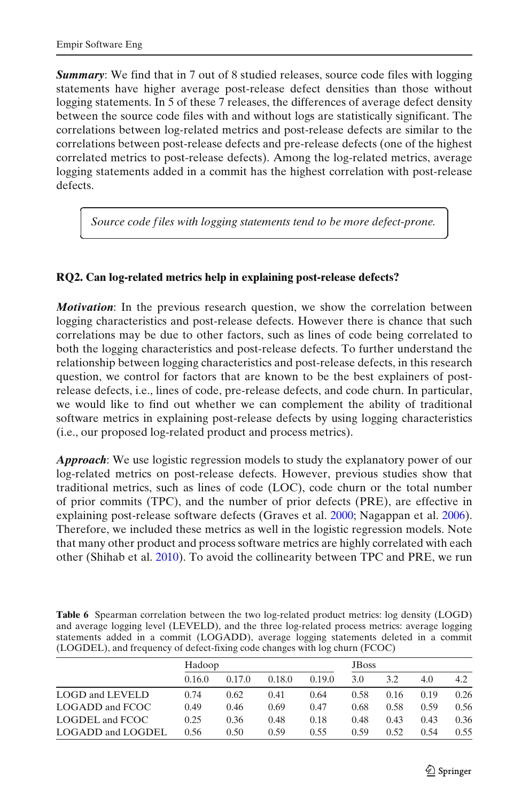**✄**

**✂**

<span id="page-14-0"></span>*Summary:* We find that in 7 out of 8 studied releases, source code files with logging statements have higher average post-release defect densities than those without logging statements. In 5 of these 7 releases, the differences of average defect density between the source code files with and without logs are statistically significant. The correlations between log-related metrics and post-release defects are similar to the correlations between post-release defects and pre-release defects (one of the highest correlated metrics to post-release defects). Among the log-related metrics, average logging statements added in a commit has the highest correlation with post-release defects.

*Source code f iles with logging statements tend to be more defect-prone.*

# **RQ2. Can log-related metrics help in explaining post-release defects?**

*Motivation*: In the previous research question, we show the correlation between logging characteristics and post-release defects. However there is chance that such correlations may be due to other factors, such as lines of code being correlated to both the logging characteristics and post-release defects. To further understand the relationship between logging characteristics and post-release defects, in this research question, we control for factors that are known to be the best explainers of postrelease defects, i.e., lines of code, pre-release defects, and code churn. In particular, we would like to find out whether we can complement the ability of traditional software metrics in explaining post-release defects by using logging characteristics (i.e., our proposed log-related product and process metrics).

*Approach*: We use logistic regression models to study the explanatory power of our log-related metrics on post-release defects. However, previous studies show that traditional metrics, such as lines of code (LOC), code churn or the total number of prior commits (TPC), and the number of prior defects (PRE), are effective in explaining post-release software defects (Graves et al[.](#page-22-0) [2000;](#page-22-0) Nagappan et al[.](#page-23-0) [2006\)](#page-23-0). Therefore, we included these metrics as well in the logistic regression models. Note that many other product and process software metrics are highly correlated with each other (Shihab et al[.](#page-24-0) [2010](#page-24-0)). To avoid the collinearity between TPC and PRE, we run

Table 6 Spearman correlation between the two log-related product metrics: log density (LOGD) and average logging level (LEVELD), and the three log-related process metrics: average logging statements added in a commit (LOGADD), average logging statements deleted in a commit (LOGDEL), and frequency of defect-fixing code changes with log churn (FCOC)

|                   | Hadoop |        |        |        | <b>JBoss</b> |      |      |      |
|-------------------|--------|--------|--------|--------|--------------|------|------|------|
|                   | 0.16.0 | 0.17.0 | 0.18.0 | 0.19.0 | 3.0          | 3.2  | 4.0  | 4.2  |
| LOGD and LEVELD   | 0.74   | 0.62   | 0.41   | 0.64   | 0.58         | 0.16 | 0.19 | 0.26 |
| LOGADD and FCOC   | 0.49   | 0.46   | 0.69   | 0.47   | 0.68         | 0.58 | 0.59 | 0.56 |
| LOGDEL and FCOC   | 0.25   | 0.36   | 0.48   | 0.18   | 0.48         | 0.43 | 0.43 | 0.36 |
| LOGADD and LOGDEL | 0.56   | 0.50   | 0.59   | 0.55   | 0.59         | 0.52 | 0.54 | 0.55 |

Ì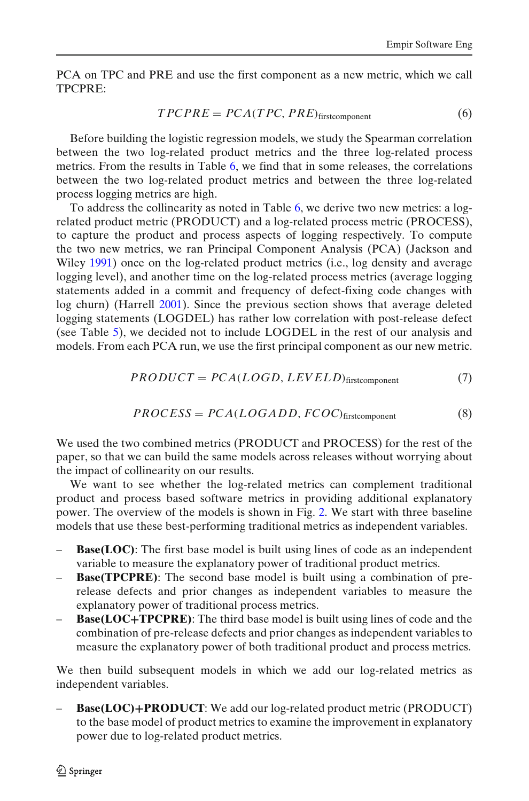PCA on TPC and PRE and use the first component as a new metric, which we call TPCPRE:

$$
TPCPRE = PCA(TPC, PRE)_{first component}
$$
\n(6)

Before building the logistic regression models, we study the Spearman correlation between the two log-related product metrics and the three log-related process metrics. From the results in Table [6,](#page-14-0) we find that in some releases, the correlations between the two log-related product metrics and between the three log-related process logging metrics are high.

To address the collinearity as noted in Table [6,](#page-14-0) we derive two new metrics: a logrelated product metric (PRODUCT) and a log-related process metric (PROCESS), to capture the product and process aspects of logging respectively. To compute the two new metrics, we ran Principal Component Analysis (PCA) (Jackson and Wile[y](#page-23-0) [1991](#page-23-0)) once on the log-related product metrics (i.e., log density and average logging level), and another time on the log-related process metrics (average logging statements added in a commit and frequency of defect-fixing code changes with log churn) (Harrel[l](#page-22-0) [2001](#page-22-0)). Since the previous section shows that average deleted logging statements (LOGDEL) has rather low correlation with post-release defect (see Table [5\)](#page-13-0), we decided not to include LOGDEL in the rest of our analysis and models. From each PCA run, we use the first principal component as our new metric.

$$
PRODUCT = PCA(LOGD, LEVELD)_{first component}
$$
\n(7)

$$
PROCESS = PCA(LOGADD, FCOC)_{firstcomponent}
$$
 (8)

We used the two combined metrics (PRODUCT and PROCESS) for the rest of the paper, so that we can build the same models across releases without worrying about the impact of collinearity on our results.

We want to see whether the log-related metrics can complement traditional product and process based software metrics in providing additional explanatory power. The overview of the models is shown in Fig. [2.](#page-16-0) We start with three baseline models that use these best-performing traditional metrics as independent variables.

- **Base(LOC)**: The first base model is built using lines of code as an independent variable to measure the explanatory power of traditional product metrics.
- **Base(TPCPRE)**: The second base model is built using a combination of prerelease defects and prior changes as independent variables to measure the explanatory power of traditional process metrics.
- **Base(LOC+TPCPRE)**: The third base model is built using lines of code and the combination of pre-release defects and prior changes as independent variables to measure the explanatory power of both traditional product and process metrics.

We then build subsequent models in which we add our log-related metrics as independent variables.

– **Base(LOC)+PRODUCT**: We add our log-related product metric (PRODUCT) to the base model of product metrics to examine the improvement in explanatory power due to log-related product metrics.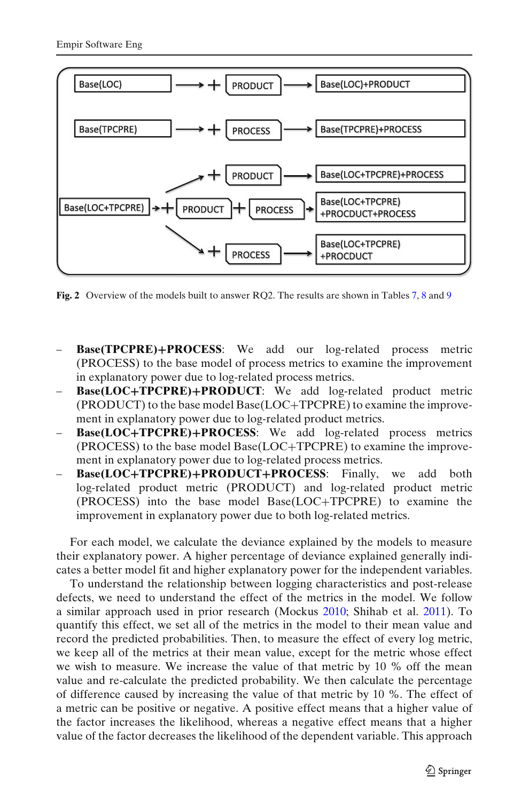<span id="page-16-0"></span>

Fig. 2 Overview of the models built to answer RQ2. The results are shown in Tables [7,](#page-17-0) [8](#page-17-0) and [9](#page-18-0)

- **Base(TPCPRE)+PROCESS**: We add our log-related process metric (PROCESS) to the base model of process metrics to examine the improvement in explanatory power due to log-related process metrics.
- **Base(LOC+TPCPRE)+PRODUCT**: We add log-related product metric (PRODUCT) to the base model Base(LOC+TPCPRE) to examine the improvement in explanatory power due to log-related product metrics.
- **Base(LOC+TPCPRE)+PROCESS**: We add log-related process metrics (PROCESS) to the base model Base(LOC+TPCPRE) to examine the improvement in explanatory power due to log-related process metrics.
- **Base(LOC+TPCPRE)+PRODUCT+PROCESS**: Finally, we add both log-related product metric (PRODUCT) and log-related product metric (PROCESS) into the base model Base(LOC+TPCPRE) to examine the improvement in explanatory power due to both log-related metrics.

For each model, we calculate the deviance explained by the models to measure their explanatory power. A higher percentage of deviance explained generally indicates a better model fit and higher explanatory power for the independent variables.

To understand the relationship between logging characteristics and post-release defects, we need to understand the effect of the metrics in the model. We follow a similar approach used in prior research (Mocku[s](#page-23-0) [2010;](#page-23-0) Shihab et al[.](#page-24-0) [2011\)](#page-24-0). To quantify this effect, we set all of the metrics in the model to their mean value and record the predicted probabilities. Then, to measure the effect of every log metric, we keep all of the metrics at their mean value, except for the metric whose effect we wish to measure. We increase the value of that metric by 10 % off the mean value and re-calculate the predicted probability. We then calculate the percentage of difference caused by increasing the value of that metric by 10 %. The effect of a metric can be positive or negative. A positive effect means that a higher value of the factor increases the likelihood, whereas a negative effect means that a higher value of the factor decreases the likelihood of the dependent variable. This approach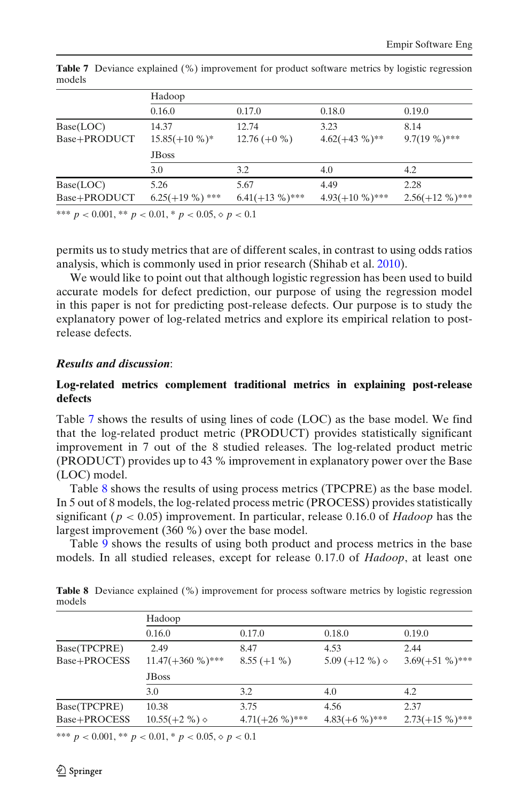|                           | Hadoop                   |                   |                   |                   |  |  |  |  |
|---------------------------|--------------------------|-------------------|-------------------|-------------------|--|--|--|--|
|                           | 0.16.0                   | 0.17.0            | 0.18.0            | 0.19.0            |  |  |  |  |
| Base(LOC)                 | 14.37                    | 12.74             | 3.23              | 8.14              |  |  |  |  |
| Base+PRODUCT              | $15.85(+10\%)*$          | $12.76(+0\%)$     | $4.62(+43\%)**$   | $9.7(19\%)$ ***   |  |  |  |  |
|                           | <b>JBoss</b>             |                   |                   |                   |  |  |  |  |
|                           | 3.0                      | 3.2               | 4.0               | 4.2               |  |  |  |  |
| Base(LOC)                 | 5.26                     | 5.67              | 4.49              | 2.28              |  |  |  |  |
| Base+PRODUCT              | $6.25(+19\%)$ ***        | $6.41(+13\%)$ *** | $4.93(+10\%)$ *** | $2.56(+12\%)$ *** |  |  |  |  |
| also also also<br>0.001 w | $0.01 \times 0.05$ $0.1$ |                   |                   |                   |  |  |  |  |

<span id="page-17-0"></span>**Table 7** Deviance explained (%) improvement for product software metrics by logistic regression models

\*\*\*  $p < 0.001$ , \*\*  $p < 0.01$ , \*  $p < 0.05$ ,  $\lozenge p < 0.1$ 

permits us to study metrics that are of different scales, in contrast to using odds ratios analysis, which is commonly used in prior research (Shihab et al[.](#page-24-0) [2010\)](#page-24-0).

We would like to point out that although logistic regression has been used to build accurate models for defect prediction, our purpose of using the regression model in this paper is not for predicting post-release defects. Our purpose is to study the explanatory power of log-related metrics and explore its empirical relation to postrelease defects.

#### *Results and discussion*:

#### **Log-related metrics complement traditional metrics in explaining post-release defects**

Table 7 shows the results of using lines of code (LOC) as the base model. We find that the log-related product metric (PRODUCT) provides statistically significant improvement in 7 out of the 8 studied releases. The log-related product metric (PRODUCT) provides up to 43 % improvement in explanatory power over the Base (LOC) model.

Table 8 shows the results of using process metrics (TPCPRE) as the base model. In 5 out of 8 models, the log-related process metric (PROCESS) provides statistically significant (*p* < 0.05) improvement. In particular, release 0.16.0 of *Hadoop* has the largest improvement (360 %) over the base model.

Table [9](#page-18-0) shows the results of using both product and process metrics in the base models. In all studied releases, except for release 0.17.0 of *Hadoop*, at least one

|              | Hadoop                 |                   |                        |                   |  |  |  |
|--------------|------------------------|-------------------|------------------------|-------------------|--|--|--|
|              | 0.16.0                 | 0.17.0            | 0.18.0                 | 0.19.0            |  |  |  |
| Base(TPCPRE) | 2.49                   | 8.47              | 4.53                   | 2.44              |  |  |  |
| Base+PROCESS | $11.47(+360\%)$ ***    | $8.55 (+1 %)$     | 5.09 $(+12\%)\diamond$ | $3.69(+51\%)$ *** |  |  |  |
|              | <b>JBoss</b>           |                   |                        |                   |  |  |  |
|              | 3.0                    | 3.2               | 4.0                    | 4.2               |  |  |  |
| Base(TPCPRE) | 10.38                  | 3.75              | 4.56                   | 2.37              |  |  |  |
| Base+PROCESS | $10.55(+2\%) \diamond$ | $4.71(+26\%)$ *** | $4.83(+6\%)$ ***       | $2.73(+15\%)$ *** |  |  |  |
|              |                        |                   |                        |                   |  |  |  |

**Table 8** Deviance explained (%) improvement for process software metrics by logistic regression models

\*\*\*  $p < 0.001$ , \*\*  $p < 0.01$ , \*  $p < 0.05$ ,  $\lozenge p < 0.1$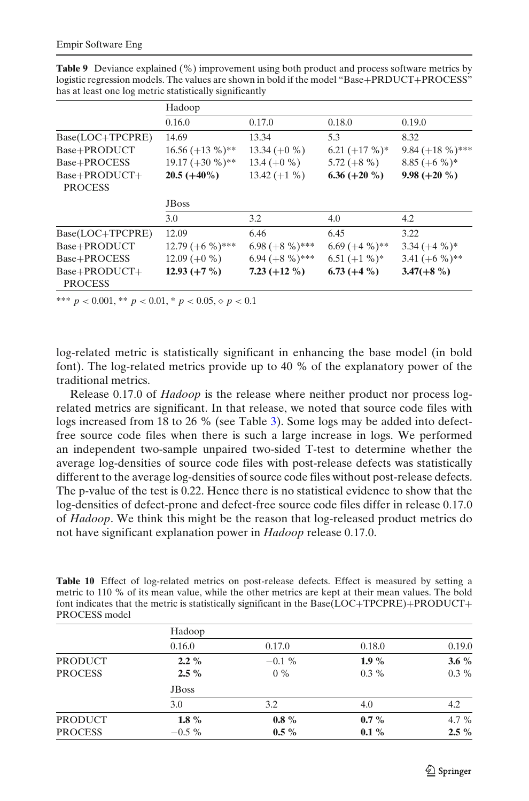|                                 | Hadoop                    |                   |                 |                    |  |  |
|---------------------------------|---------------------------|-------------------|-----------------|--------------------|--|--|
|                                 | 0.16.0                    | 0.17.0            | 0.18.0          | 0.19.0             |  |  |
| Base(LOC+TPCPRE)                | 14.69                     | 13.34             | 5.3             | 8.32               |  |  |
| Base+PRODUCT                    | $16.56 (+13 %)^*$         | $13.34 (+0 %)$    | $6.21 (+17%)$   | 9.84 $(+18\%)$ *** |  |  |
| Base+PROCESS                    | $19.17 (+30 %)**$         | 13.4 $(+0\%$      | $5.72 (+8 %)$   | $8.85 (+6 %)$      |  |  |
| Base+PRODUCT+<br><b>PROCESS</b> | $20.5 (+40\%)$            | $13.42 (+1 %)$    | $6.36 (+20 %)$  | $9.98 (+20 %)$     |  |  |
|                                 | <b>J</b> B <sub>oss</sub> |                   |                 |                    |  |  |
|                                 | 3.0                       | 3.2               | 4.0             | 4.2                |  |  |
| Base(LOC+TPCPRE)                | 12.09                     | 6.46              | 6.45            | 3.22               |  |  |
| Base+PRODUCT                    | $12.79 (+6\%)$ ***        | $6.98 (+8\%)$ *** | $6.69 (+4\%)**$ | $3.34 (+4\%)*$     |  |  |
| Base+PROCESS                    | $12.09 (+0 %)$            | $6.94 (+8\%)$ *** | $6.51 (+1 %)^*$ | 3.41 $(+6\%)$ **   |  |  |
| Base+PRODUCT+<br><b>PROCESS</b> | $12.93 (+7%)$             | 7.23 $(+12\%)$    | $6.73(+4\%)$    | $3.47(+8\%)$       |  |  |

<span id="page-18-0"></span>**Table 9** Deviance explained (%) improvement using both product and process software metrics by logistic regression models. The values are shown in bold if the model "Base+PRDUCT+PROCESS" has at least one log metric statistically significantly

\*\*\*  $p < 0.001$ , \*\*  $p < 0.01$ , \*  $p < 0.05$ ,  $\varphi$   $p < 0.1$ 

log-related metric is statistically significant in enhancing the base model (in bold font). The log-related metrics provide up to 40 % of the explanatory power of the traditional metrics.

Release 0.17.0 of *Hadoop* is the release where neither product nor process logrelated metrics are significant. In that release, we noted that source code files with logs increased from 18 to 26 % (see Table [3\)](#page-11-0). Some logs may be added into defectfree source code files when there is such a large increase in logs. We performed an independent two-sample unpaired two-sided T-test to determine whether the average log-densities of source code files with post-release defects was statistically different to the average log-densities of source code files without post-release defects. The p-value of the test is 0.22. Hence there is no statistical evidence to show that the log-densities of defect-prone and defect-free source code files differ in release 0.17.0 of *Hadoop*. We think this might be the reason that log-released product metrics do not have significant explanation power in *Hadoop* release 0.17.0.

Table 10 Effect of log-related metrics on post-release defects. Effect is measured by setting a metric to 110 % of its mean value, while the other metrics are kept at their mean values. The bold font indicates that the metric is statistically significant in the Base(LOC+TPCPRE)+PRODUCT+ PROCESS model

|                | Hadoop        |           |         |         |
|----------------|---------------|-----------|---------|---------|
|                | 0.16.0        | 0.17.0    | 0.18.0  | 0.19.0  |
| <b>PRODUCT</b> | $2.2\%$       | $-0.1 \%$ | $1.9\%$ | 3.6 $%$ |
| <b>PROCESS</b> | $2.5\%$       | $0\%$     | $0.3\%$ | $0.3\%$ |
|                | <b>JB</b> oss |           |         |         |
|                | 3.0           | 3.2       | 4.0     | 4.2     |
| <b>PRODUCT</b> | 1.8 $%$       | $0.8 \%$  | $0.7\%$ | 4.7 $%$ |
| <b>PROCESS</b> | $-0.5\%$      | $0.5\%$   | $0.1\%$ | $2.5\%$ |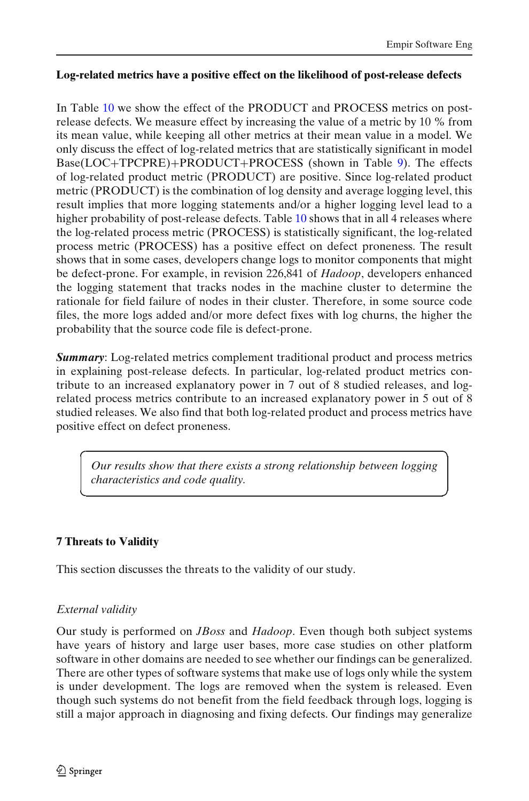**☎**

#### <span id="page-19-0"></span>**Log-related metrics have a positive effect on the likelihood of post-release defects**

In Table [10](#page-18-0) we show the effect of the PRODUCT and PROCESS metrics on postrelease defects. We measure effect by increasing the value of a metric by 10 % from its mean value, while keeping all other metrics at their mean value in a model. We only discuss the effect of log-related metrics that are statistically significant in model Base(LOC+TPCPRE)+PRODUCT+PROCESS (shown in Table [9\)](#page-18-0). The effects of log-related product metric (PRODUCT) are positive. Since log-related product metric (PRODUCT) is the combination of log density and average logging level, this result implies that more logging statements and/or a higher logging level lead to a higher probability of post-release defects. Table [10](#page-18-0) shows that in all 4 releases where the log-related process metric (PROCESS) is statistically significant, the log-related process metric (PROCESS) has a positive effect on defect proneness. The result shows that in some cases, developers change logs to monitor components that might be defect-prone. For example, in revision 226,841 of *Hadoop*, developers enhanced the logging statement that tracks nodes in the machine cluster to determine the rationale for field failure of nodes in their cluster. Therefore, in some source code files, the more logs added and/or more defect fixes with log churns, the higher the probability that the source code file is defect-prone.

*Summary*: Log-related metrics complement traditional product and process metrics in explaining post-release defects. In particular, log-related product metrics contribute to an increased explanatory power in 7 out of 8 studied releases, and logrelated process metrics contribute to an increased explanatory power in 5 out of 8 studied releases. We also find that both log-related product and process metrics have positive effect on defect proneness.

*Our results show that there exists a strong relationship between logging characteristics and code quality.*

## **7 Threats to Validity**

**✞**

**T** 

This section discusses the threats to the validity of our study.

## *External validity*

Our study is performed on *JBoss* and *Hadoop*. Even though both subject systems have years of history and large user bases, more case studies on other platform software in other domains are needed to see whether our findings can be generalized. There are other types of software systems that make use of logs only while the system is under development. The logs are removed when the system is released. Even though such systems do not benefit from the field feedback through logs, logging is still a major approach in diagnosing and fixing defects. Our findings may generalize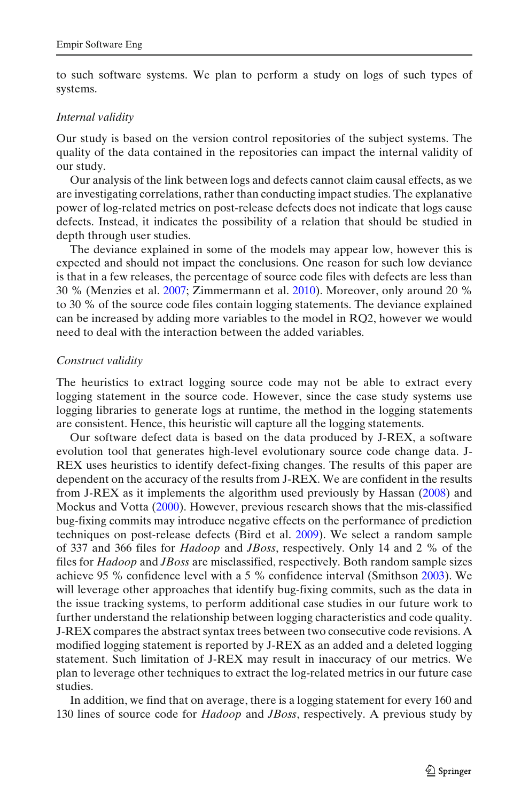to such software systems. We plan to perform a study on logs of such types of systems.

#### *Internal validity*

Our study is based on the version control repositories of the subject systems. The quality of the data contained in the repositories can impact the internal validity of our study.

Our analysis of the link between logs and defects cannot claim causal effects, as we are investigating correlations, rather than conducting impact studies. The explanative power of log-related metrics on post-release defects does not indicate that logs cause defects. Instead, it indicates the possibility of a relation that should be studied in depth through user studies.

The deviance explained in some of the models may appear low, however this is expected and should not impact the conclusions. One reason for such low deviance is that in a few releases, the percentage of source code files with defects are less than 30 % (Menzies et al[.](#page-23-0) [2007;](#page-23-0) Zimmermann et al[.](#page-24-0) [2010](#page-24-0)). Moreover, only around 20 % to 30 % of the source code files contain logging statements. The deviance explained can be increased by adding more variables to the model in RQ2, however we would need to deal with the interaction between the added variables.

#### *Construct validity*

The heuristics to extract logging source code may not be able to extract every logging statement in the source code. However, since the case study systems use logging libraries to generate logs at runtime, the method in the logging statements are consistent. Hence, this heuristic will capture all the logging statements.

Our software defect data is based on the data produced by J-REX, a software evolution tool that generates high-level evolutionary source code change data. J-REX uses heuristics to identify defect-fixing changes. The results of this paper are dependent on the accuracy of the results from J-REX. We are confident in the results from J-REX as it implements the algorithm used previously by Hassa[n](#page-22-0) [\(2008](#page-22-0)) and Mockus and Vott[a](#page-23-0) [\(2000\)](#page-23-0). However, previous research shows that the mis-classified bug-fixing commits may introduce negative effects on the performance of prediction techniques on post-release defects (Bird et al[.](#page-22-0) [2009\)](#page-22-0). We select a random sample of 337 and 366 files for *Hadoop* and *JBoss*, respectively. Only 14 and 2 % of the files for *Hadoop* and *JBoss* are misclassified, respectively. Both random sample sizes achieve 95 % confidence level with a 5 % confidence interval (Smithso[n](#page-24-0) [2003](#page-24-0)). We will leverage other approaches that identify bug-fixing commits, such as the data in the issue tracking systems, to perform additional case studies in our future work to further understand the relationship between logging characteristics and code quality. J-REX compares the abstract syntax trees between two consecutive code revisions. A modified logging statement is reported by J-REX as an added and a deleted logging statement. Such limitation of J-REX may result in inaccuracy of our metrics. We plan to leverage other techniques to extract the log-related metrics in our future case studies.

In addition, we find that on average, there is a logging statement for every 160 and 130 lines of source code for *Hadoop* and *JBoss*, respectively. A previous study by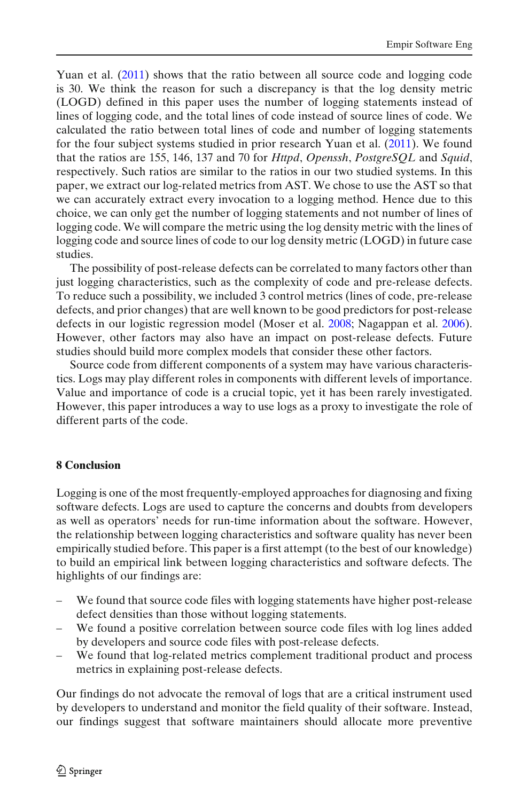<span id="page-21-0"></span>Yuan et al[.](#page-24-0) [\(2011](#page-24-0)) shows that the ratio between all source code and logging code is 30. We think the reason for such a discrepancy is that the log density metric (LOGD) defined in this paper uses the number of logging statements instead of lines of logging code, and the total lines of code instead of source lines of code. We calculated the ratio between total lines of code and number of logging statements for the four subject systems studied in prior research Yuan et al[.](#page-24-0) [\(2011](#page-24-0)). We found that the ratios are 155, 146, 137 and 70 for *Httpd*, *Openssh*, *PostgreSQL* and *Squid*, respectively. Such ratios are similar to the ratios in our two studied systems. In this paper, we extract our log-related metrics from AST. We chose to use the AST so that we can accurately extract every invocation to a logging method. Hence due to this choice, we can only get the number of logging statements and not number of lines of logging code. We will compare the metric using the log density metric with the lines of logging code and source lines of code to our log density metric (LOGD) in future case studies.

The possibility of post-release defects can be correlated to many factors other than just logging characteristics, such as the complexity of code and pre-release defects. To reduce such a possibility, we included 3 control metrics (lines of code, pre-release defects, and prior changes) that are well known to be good predictors for post-release defects in our logistic regression model (Moser et al[.](#page-23-0) [2008;](#page-23-0) Nagappan et al[.](#page-23-0) [2006\)](#page-23-0). However, other factors may also have an impact on post-release defects. Future studies should build more complex models that consider these other factors.

Source code from different components of a system may have various characteristics. Logs may play different roles in components with different levels of importance. Value and importance of code is a crucial topic, yet it has been rarely investigated. However, this paper introduces a way to use logs as a proxy to investigate the role of different parts of the code.

## **8 Conclusion**

Logging is one of the most frequently-employed approaches for diagnosing and fixing software defects. Logs are used to capture the concerns and doubts from developers as well as operators' needs for run-time information about the software. However, the relationship between logging characteristics and software quality has never been empirically studied before. This paper is a first attempt (to the best of our knowledge) to build an empirical link between logging characteristics and software defects. The highlights of our findings are:

- We found that source code files with logging statements have higher post-release defect densities than those without logging statements.
- We found a positive correlation between source code files with log lines added by developers and source code files with post-release defects.
- We found that log-related metrics complement traditional product and process metrics in explaining post-release defects.

Our findings do not advocate the removal of logs that are a critical instrument used by developers to understand and monitor the field quality of their software. Instead, our findings suggest that software maintainers should allocate more preventive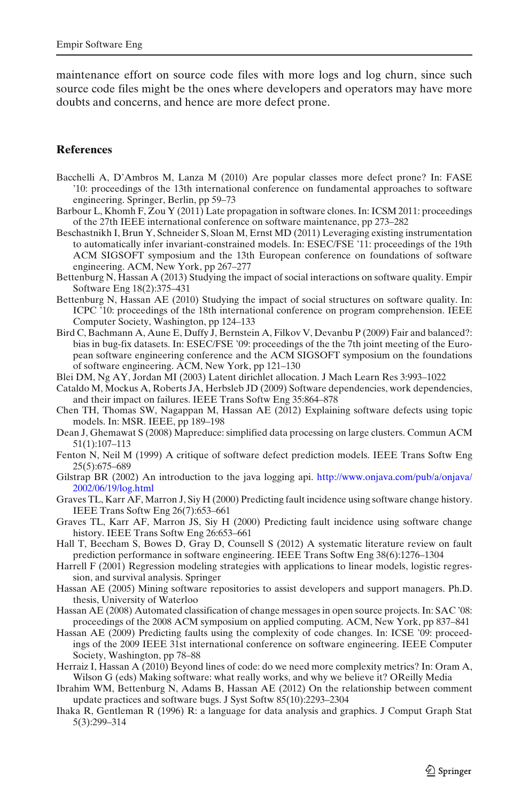<span id="page-22-0"></span>maintenance effort on source code files with more logs and log churn, since such source code files might be the ones where developers and operators may have more doubts and concerns, and hence are more defect prone.

#### **References**

- Bacchelli A, D'Ambros M, Lanza M (2010) Are popular classes more defect prone? In: FASE '10: proceedings of the 13th international conference on fundamental approaches to software engineering. Springer, Berlin, pp 59–73
- Barbour L, Khomh F, Zou Y (2011) Late propagation in software clones. In: ICSM 2011: proceedings of the 27th IEEE international conference on software maintenance, pp 273–282
- Beschastnikh I, Brun Y, Schneider S, Sloan M, Ernst MD (2011) Leveraging existing instrumentation to automatically infer invariant-constrained models. In: ESEC/FSE '11: proceedings of the 19th ACM SIGSOFT symposium and the 13th European conference on foundations of software engineering. ACM, New York, pp 267–277
- Bettenburg N, Hassan A (2013) Studying the impact of social interactions on software quality. Empir Software Eng 18(2):375–431
- Bettenburg N, Hassan AE (2010) Studying the impact of social structures on software quality. In: ICPC '10: proceedings of the 18th international conference on program comprehension. IEEE Computer Society, Washington, pp 124–133
- Bird C, Bachmann A, Aune E, Duffy J, Bernstein A, Filkov V, Devanbu P (2009) Fair and balanced?: bias in bug-fix datasets. In: ESEC/FSE '09: proceedings of the the 7th joint meeting of the European software engineering conference and the ACM SIGSOFT symposium on the foundations of software engineering. ACM, New York, pp 121–130
- Blei DM, Ng AY, Jordan MI (2003) Latent dirichlet allocation. J Mach Learn Res 3:993–1022
- Cataldo M, Mockus A, Roberts JA, Herbsleb JD (2009) Software dependencies, work dependencies, and their impact on failures. IEEE Trans Softw Eng 35:864–878
- Chen TH, Thomas SW, Nagappan M, Hassan AE (2012) Explaining software defects using topic models. In: MSR. IEEE, pp 189–198
- Dean J, Ghemawat S (2008) Mapreduce: simplified data processing on large clusters. Commun ACM 51(1):107–113
- Fenton N, Neil M (1999) A critique of software defect prediction models. IEEE Trans Softw Eng 25(5):675–689
- Gilstrap BR (2002) An introduction to the java logging api. [http://www.onjava.com/pub/a/onjava/](http://www.onjava.com/pub/a/onjava/2002/06/19/log.html) [2002/06/19/log.html](http://www.onjava.com/pub/a/onjava/2002/06/19/log.html)
- Graves TL, Karr AF, Marron J, Siy H (2000) Predicting fault incidence using software change history. IEEE Trans Softw Eng 26(7):653–661
- Graves TL, Karr AF, Marron JS, Siy H (2000) Predicting fault incidence using software change history. IEEE Trans Softw Eng 26:653–661
- Hall T, Beecham S, Bowes D, Gray D, Counsell S (2012) A systematic literature review on fault prediction performance in software engineering. IEEE Trans Softw Eng 38(6):1276–1304
- Harrell F (2001) Regression modeling strategies with applications to linear models, logistic regression, and survival analysis. Springer
- Hassan AE (2005) Mining software repositories to assist developers and support managers. Ph.D. thesis, University of Waterloo
- Hassan AE (2008) Automated classification of change messages in open source projects. In: SAC '08: proceedings of the 2008 ACM symposium on applied computing. ACM, New York, pp 837–841
- Hassan AE (2009) Predicting faults using the complexity of code changes. In: ICSE '09: proceedings of the 2009 IEEE 31st international conference on software engineering. IEEE Computer Society, Washington, pp 78–88
- Herraiz I, Hassan A (2010) Beyond lines of code: do we need more complexity metrics? In: Oram A, Wilson G (eds) Making software: what really works, and why we believe it? OReilly Media
- Ibrahim WM, Bettenburg N, Adams B, Hassan AE (2012) On the relationship between comment update practices and software bugs. J Syst Softw 85(10):2293–2304
- Ihaka R, Gentleman R (1996) R: a language for data analysis and graphics. J Comput Graph Stat 5(3):299–314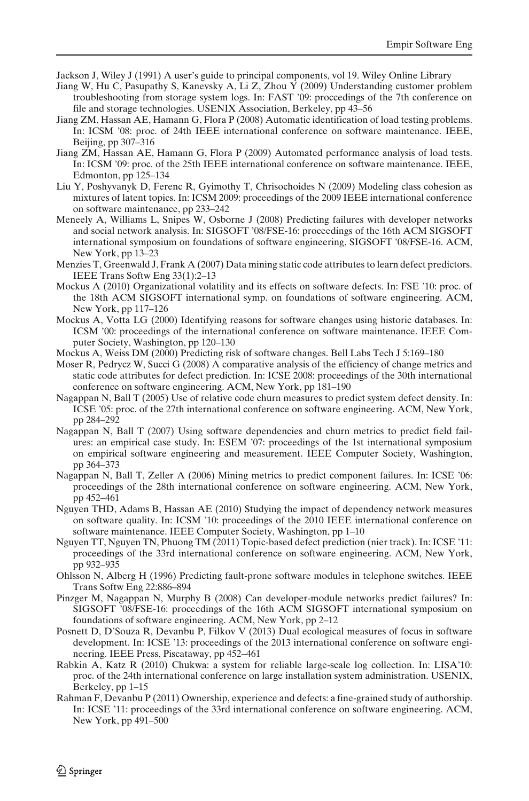<span id="page-23-0"></span>Jackson J, Wiley J (1991) A user's guide to principal components, vol 19. Wiley Online Library

- Jiang W, Hu C, Pasupathy S, Kanevsky A, Li Z, Zhou Y (2009) Understanding customer problem troubleshooting from storage system logs. In: FAST '09: proccedings of the 7th conference on file and storage technologies. USENIX Association, Berkeley, pp 43–56
- Jiang ZM, Hassan AE, Hamann G, Flora P (2008) Automatic identification of load testing problems. In: ICSM '08: proc. of 24th IEEE international conference on software maintenance. IEEE, Beijing, pp 307–316
- Jiang ZM, Hassan AE, Hamann G, Flora P (2009) Automated performance analysis of load tests. In: ICSM '09: proc. of the 25th IEEE international conference on software maintenance. IEEE, Edmonton, pp 125–134
- Liu Y, Poshyvanyk D, Ferenc R, Gyimothy T, Chrisochoides N (2009) Modeling class cohesion as mixtures of latent topics. In: ICSM 2009: proceedings of the 2009 IEEE international conference on software maintenance, pp 233–242
- Meneely A, Williams L, Snipes W, Osborne J (2008) Predicting failures with developer networks and social network analysis. In: SIGSOFT '08/FSE-16: proceedings of the 16th ACM SIGSOFT international symposium on foundations of software engineering, SIGSOFT '08/FSE-16. ACM, New York, pp 13–23
- Menzies T, Greenwald J, Frank A (2007) Data mining static code attributes to learn defect predictors. IEEE Trans Softw Eng 33(1):2–13
- Mockus A (2010) Organizational volatility and its effects on software defects. In: FSE '10: proc. of the 18th ACM SIGSOFT international symp. on foundations of software engineering. ACM, New York, pp 117–126
- Mockus A, Votta LG (2000) Identifying reasons for software changes using historic databases. In: ICSM '00: proceedings of the international conference on software maintenance. IEEE Computer Society, Washington, pp 120–130
- Mockus A, Weiss DM (2000) Predicting risk of software changes. Bell Labs Tech J 5:169–180
- Moser R, Pedrycz W, Succi G (2008) A comparative analysis of the efficiency of change metrics and static code attributes for defect prediction. In: ICSE 2008: proceedings of the 30th international conference on software engineering. ACM, New York, pp 181–190
- Nagappan N, Ball T (2005) Use of relative code churn measures to predict system defect density. In: ICSE '05: proc. of the 27th international conference on software engineering. ACM, New York, pp 284–292
- Nagappan N, Ball T (2007) Using software dependencies and churn metrics to predict field failures: an empirical case study. In: ESEM '07: proceedings of the 1st international symposium on empirical software engineering and measurement. IEEE Computer Society, Washington, pp 364–373
- Nagappan N, Ball T, Zeller A (2006) Mining metrics to predict component failures. In: ICSE '06: proceedings of the 28th international conference on software engineering. ACM, New York, pp 452–461
- Nguyen THD, Adams B, Hassan AE (2010) Studying the impact of dependency network measures on software quality. In: ICSM '10: proceedings of the 2010 IEEE international conference on software maintenance. IEEE Computer Society, Washington, pp 1–10
- Nguyen TT, Nguyen TN, Phuong TM (2011) Topic-based defect prediction (nier track). In: ICSE '11: proceedings of the 33rd international conference on software engineering. ACM, New York, pp 932–935
- Ohlsson N, Alberg H (1996) Predicting fault-prone software modules in telephone switches. IEEE Trans Softw Eng 22:886–894
- Pinzger M, Nagappan N, Murphy B (2008) Can developer-module networks predict failures? In: SIGSOFT '08/FSE-16: proceedings of the 16th ACM SIGSOFT international symposium on foundations of software engineering. ACM, New York, pp 2–12
- Posnett D, D'Souza R, Devanbu P, Filkov V (2013) Dual ecological measures of focus in software development. In: ICSE '13: proceedings of the 2013 international conference on software engineering. IEEE Press, Piscataway, pp 452–461
- Rabkin A, Katz R (2010) Chukwa: a system for reliable large-scale log collection. In: LISA'10: proc. of the 24th international conference on large installation system administration. USENIX, Berkeley, pp 1–15
- Rahman F, Devanbu P (2011) Ownership, experience and defects: a fine-grained study of authorship. In: ICSE '11: proceedings of the 33rd international conference on software engineering. ACM, New York, pp 491–500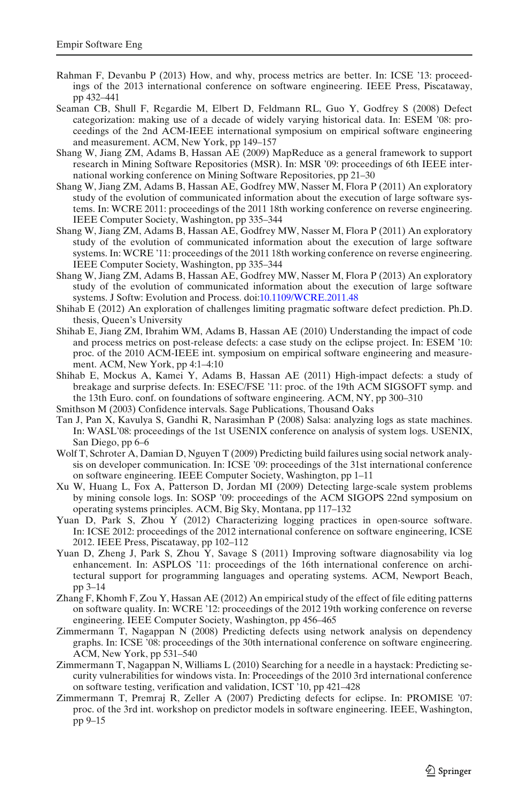- <span id="page-24-0"></span>Rahman F, Devanbu P (2013) How, and why, process metrics are better. In: ICSE '13: proceedings of the 2013 international conference on software engineering. IEEE Press, Piscataway, pp 432–441
- Seaman CB, Shull F, Regardie M, Elbert D, Feldmann RL, Guo Y, Godfrey S (2008) Defect categorization: making use of a decade of widely varying historical data. In: ESEM '08: proceedings of the 2nd ACM-IEEE international symposium on empirical software engineering and measurement. ACM, New York, pp 149–157
- Shang W, Jiang ZM, Adams B, Hassan AE (2009) MapReduce as a general framework to support research in Mining Software Repositories (MSR). In: MSR '09: proceedings of 6th IEEE international working conference on Mining Software Repositories, pp 21–30
- Shang W, Jiang ZM, Adams B, Hassan AE, Godfrey MW, Nasser M, Flora P (2011) An exploratory study of the evolution of communicated information about the execution of large software systems. In: WCRE 2011: proceedings of the 2011 18th working conference on reverse engineering. IEEE Computer Society, Washington, pp 335–344
- Shang W, Jiang ZM, Adams B, Hassan AE, Godfrey MW, Nasser M, Flora P (2011) An exploratory study of the evolution of communicated information about the execution of large software systems. In: WCRE '11: proceedings of the 2011 18th working conference on reverse engineering. IEEE Computer Society, Washington, pp 335–344
- Shang W, Jiang ZM, Adams B, Hassan AE, Godfrey MW, Nasser M, Flora P (2013) An exploratory study of the evolution of communicated information about the execution of large software systems. J Softw: Evolution and Process. doi[:10.1109/WCRE.2011.48](http://dx.doi.org/10.1109/WCRE.2011.48)
- Shihab E (2012) An exploration of challenges limiting pragmatic software defect prediction. Ph.D. thesis, Queen's University
- Shihab E, Jiang ZM, Ibrahim WM, Adams B, Hassan AE (2010) Understanding the impact of code and process metrics on post-release defects: a case study on the eclipse project. In: ESEM '10: proc. of the 2010 ACM-IEEE int. symposium on empirical software engineering and measurement. ACM, New York, pp 4:1–4:10
- Shihab E, Mockus A, Kamei Y, Adams B, Hassan AE (2011) High-impact defects: a study of breakage and surprise defects. In: ESEC/FSE '11: proc. of the 19th ACM SIGSOFT symp. and the 13th Euro. conf. on foundations of software engineering. ACM, NY, pp 300–310
- Smithson M (2003) Confidence intervals. Sage Publications, Thousand Oaks
- Tan J, Pan X, Kavulya S, Gandhi R, Narasimhan P (2008) Salsa: analyzing logs as state machines. In: WASL'08: proceedings of the 1st USENIX conference on analysis of system logs. USENIX, San Diego, pp 6–6
- Wolf T, Schroter A, Damian D, Nguyen T (2009) Predicting build failures using social network analysis on developer communication. In: ICSE '09: proceedings of the 31st international conference on software engineering. IEEE Computer Society, Washington, pp 1–11
- Xu W, Huang L, Fox A, Patterson D, Jordan MI (2009) Detecting large-scale system problems by mining console logs. In: SOSP '09: proceedings of the ACM SIGOPS 22nd symposium on operating systems principles. ACM, Big Sky, Montana, pp 117–132
- Yuan D, Park S, Zhou Y (2012) Characterizing logging practices in open-source software. In: ICSE 2012: proceedings of the 2012 international conference on software engineering, ICSE 2012. IEEE Press, Piscataway, pp 102–112
- Yuan D, Zheng J, Park S, Zhou Y, Savage S (2011) Improving software diagnosability via log enhancement. In: ASPLOS '11: proceedings of the 16th international conference on architectural support for programming languages and operating systems. ACM, Newport Beach, pp 3–14
- Zhang F, Khomh F, Zou Y, Hassan AE (2012) An empirical study of the effect of file editing patterns on software quality. In: WCRE '12: proceedings of the 2012 19th working conference on reverse engineering. IEEE Computer Society, Washington, pp 456–465
- Zimmermann T, Nagappan N (2008) Predicting defects using network analysis on dependency graphs. In: ICSE '08: proceedings of the 30th international conference on software engineering. ACM, New York, pp 531–540
- Zimmermann T, Nagappan N, Williams L (2010) Searching for a needle in a haystack: Predicting security vulnerabilities for windows vista. In: Proceedings of the 2010 3rd international conference on software testing, verification and validation, ICST '10, pp 421–428
- Zimmermann T, Premraj R, Zeller A (2007) Predicting defects for eclipse. In: PROMISE '07: proc. of the 3rd int. workshop on predictor models in software engineering. IEEE, Washington, pp 9–15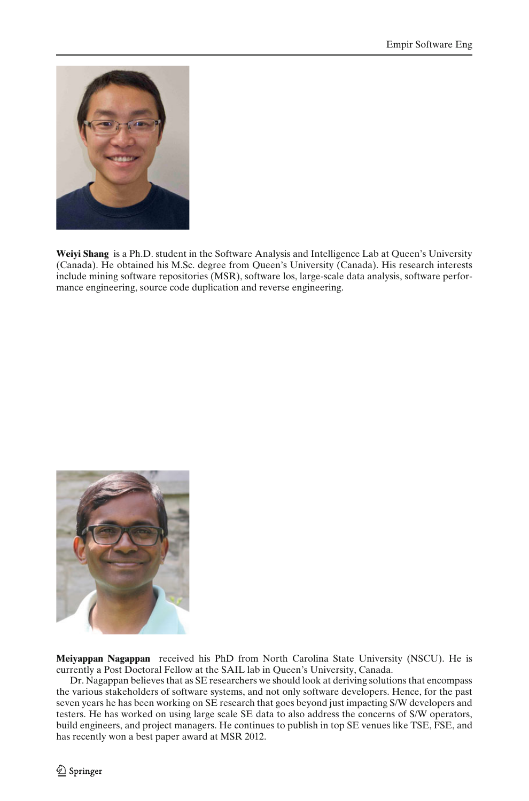

**Weiyi Shang** is a Ph.D. student in the Software Analysis and Intelligence Lab at Queen's University (Canada). He obtained his M.Sc. degree from Queen's University (Canada). His research interests include mining software repositories (MSR), software los, large-scale data analysis, software performance engineering, source code duplication and reverse engineering.



**Meiyappan Nagappan** received his PhD from North Carolina State University (NSCU). He is currently a Post Doctoral Fellow at the SAIL lab in Queen's University, Canada.

Dr. Nagappan believes that as SE researchers we should look at deriving solutions that encompass the various stakeholders of software systems, and not only software developers. Hence, for the past seven years he has been working on SE research that goes beyond just impacting S/W developers and testers. He has worked on using large scale SE data to also address the concerns of S/W operators, build engineers, and project managers. He continues to publish in top SE venues like TSE, FSE, and has recently won a best paper award at MSR 2012.